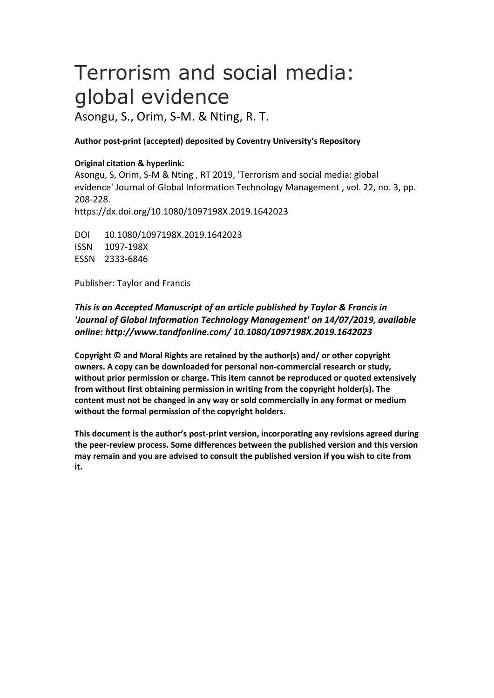# Terrorism and social media: global evidence

Asongu, S., Orim, S-M. & Nting, R. T.

## **Author post-print (accepted) deposited by Coventry University's Repository**

## **Original citation & hyperlink:**

Asongu, S, Orim, S-M & Nting , RT 2019, 'Terrorism and social media: global evidence' Journal of Global Information Technology Management , vol. 22, no. 3, pp. 208-228. https://dx.doi.org/10.1080/1097198X.2019.1642023

DOI 10.1080/1097198X.2019.1642023 ISSN 1097-198X ESSN 2333-6846

Publisher: Taylor and Francis

# *This is an Accepted Manuscript of an article published by Taylor & Francis in 'Journal of Global Information Technology Management' on 14/07/2019, available online: http://www.tandfonline.com/ 10.1080/1097198X.2019.1642023*

**Copyright © and Moral Rights are retained by the author(s) and/ or other copyright owners. A copy can be downloaded for personal non-commercial research or study, without prior permission or charge. This item cannot be reproduced or quoted extensively from without first obtaining permission in writing from the copyright holder(s). The content must not be changed in any way or sold commercially in any format or medium without the formal permission of the copyright holders.** 

**This document is the author's post-print version, incorporating any revisions agreed during the peer-review process. Some differences between the published version and this version may remain and you are advised to consult the published version if you wish to cite from it.**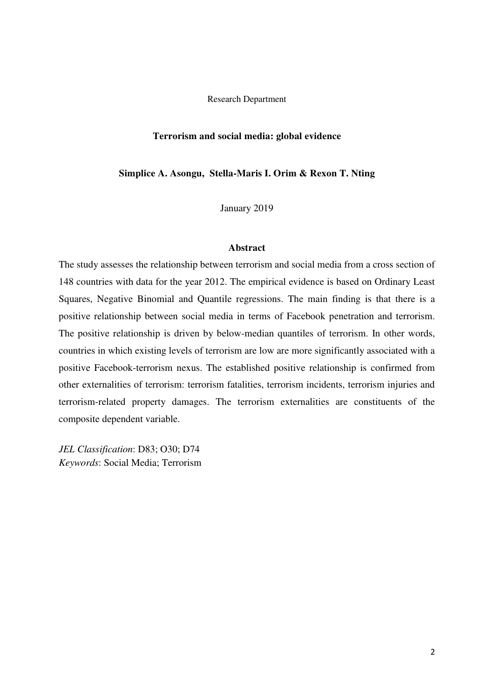Research Department

#### **Terrorism and social media: global evidence**

#### **Simplice A. Asongu, Stella-Maris I. Orim & Rexon T. Nting**

January 2019

#### **Abstract**

The study assesses the relationship between terrorism and social media from a cross section of 148 countries with data for the year 2012. The empirical evidence is based on Ordinary Least Squares, Negative Binomial and Quantile regressions. The main finding is that there is a positive relationship between social media in terms of Facebook penetration and terrorism. The positive relationship is driven by below-median quantiles of terrorism. In other words, countries in which existing levels of terrorism are low are more significantly associated with a positive Facebook-terrorism nexus. The established positive relationship is confirmed from other externalities of terrorism: terrorism fatalities, terrorism incidents, terrorism injuries and terrorism-related property damages. The terrorism externalities are constituents of the composite dependent variable.

*JEL Classification*: D83; O30; D74 *Keywords*: Social Media; Terrorism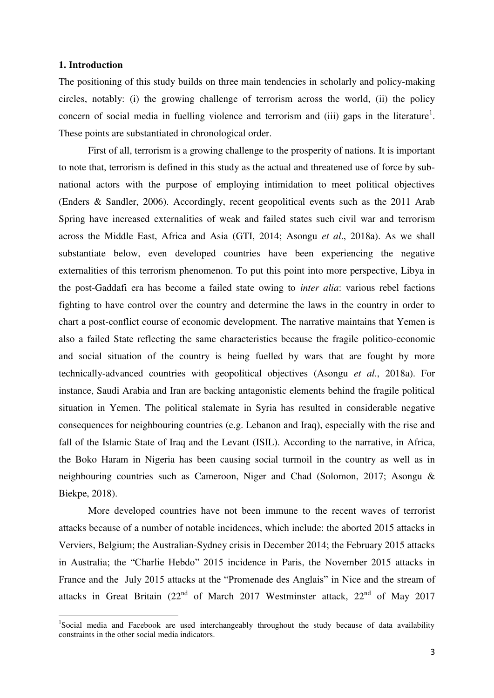## **1. Introduction**

 $\overline{a}$ 

The positioning of this study builds on three main tendencies in scholarly and policy-making circles, notably: (i) the growing challenge of terrorism across the world, (ii) the policy concern of social media in fuelling violence and terrorism and (iii) gaps in the literature<sup>1</sup>. These points are substantiated in chronological order.

 First of all, terrorism is a growing challenge to the prosperity of nations. It is important to note that, terrorism is defined in this study as the actual and threatened use of force by subnational actors with the purpose of employing intimidation to meet political objectives (Enders & Sandler, 2006). Accordingly, recent geopolitical events such as the 2011 Arab Spring have increased externalities of weak and failed states such civil war and terrorism across the Middle East, Africa and Asia (GTI, 2014; Asongu *et al*., 2018a). As we shall substantiate below, even developed countries have been experiencing the negative externalities of this terrorism phenomenon. To put this point into more perspective, Libya in the post-Gaddafi era has become a failed state owing to *inter alia*: various rebel factions fighting to have control over the country and determine the laws in the country in order to chart a post-conflict course of economic development. The narrative maintains that Yemen is also a failed State reflecting the same characteristics because the fragile politico-economic and social situation of the country is being fuelled by wars that are fought by more technically-advanced countries with geopolitical objectives (Asongu *et al*., 2018a). For instance, Saudi Arabia and Iran are backing antagonistic elements behind the fragile political situation in Yemen. The political stalemate in Syria has resulted in considerable negative consequences for neighbouring countries (e.g. Lebanon and Iraq), especially with the rise and fall of the Islamic State of Iraq and the Levant (ISIL). According to the narrative, in Africa, the Boko Haram in Nigeria has been causing social turmoil in the country as well as in neighbouring countries such as Cameroon, Niger and Chad (Solomon, 2017; Asongu & Biekpe, 2018).

 More developed countries have not been immune to the recent waves of terrorist attacks because of a number of notable incidences, which include: the aborted 2015 attacks in Verviers, Belgium; the Australian-Sydney crisis in December 2014; the February 2015 attacks in Australia; the "Charlie Hebdo" 2015 incidence in Paris, the November 2015 attacks in France and the July 2015 attacks at the "Promenade des Anglais" in Nice and the stream of attacks in Great Britain ( $22<sup>nd</sup>$  of March 2017 Westminster attack,  $22<sup>nd</sup>$  of May 2017

<sup>&</sup>lt;sup>1</sup>Social media and Facebook are used interchangeably throughout the study because of data availability constraints in the other social media indicators.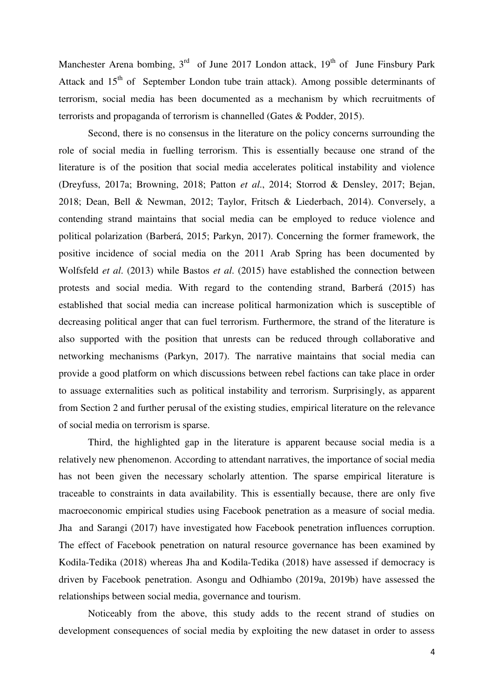Manchester Arena bombing,  $3<sup>rd</sup>$  of June 2017 London attack,  $19<sup>th</sup>$  of June Finsbury Park Attack and  $15<sup>th</sup>$  of September London tube train attack). Among possible determinants of terrorism, social media has been documented as a mechanism by which recruitments of terrorists and propaganda of terrorism is channelled (Gates & Podder, 2015).

 Second, there is no consensus in the literature on the policy concerns surrounding the role of social media in fuelling terrorism. This is essentially because one strand of the literature is of the position that social media accelerates political instability and violence (Dreyfuss, 2017a; Browning, 2018; Patton *et al*., 2014; Storrod & Densley, 2017; Bejan, 2018; Dean, Bell & Newman, 2012; Taylor, Fritsch & Liederbach, 2014). Conversely, a contending strand maintains that social media can be employed to reduce violence and political polarization (Barberá, 2015; Parkyn, 2017). Concerning the former framework, the positive incidence of social media on the 2011 Arab Spring has been documented by Wolfsfeld *et al*. (2013) while Bastos *et al*. (2015) have established the connection between protests and social media. With regard to the contending strand, Barberá (2015) has established that social media can increase political harmonization which is susceptible of decreasing political anger that can fuel terrorism. Furthermore, the strand of the literature is also supported with the position that unrests can be reduced through collaborative and networking mechanisms (Parkyn, 2017). The narrative maintains that social media can provide a good platform on which discussions between rebel factions can take place in order to assuage externalities such as political instability and terrorism. Surprisingly, as apparent from Section 2 and further perusal of the existing studies, empirical literature on the relevance of social media on terrorism is sparse.

 Third, the highlighted gap in the literature is apparent because social media is a relatively new phenomenon. According to attendant narratives, the importance of social media has not been given the necessary scholarly attention. The sparse empirical literature is traceable to constraints in data availability. This is essentially because, there are only five macroeconomic empirical studies using Facebook penetration as a measure of social media. Jha and Sarangi (2017) have investigated how Facebook penetration influences corruption. The effect of Facebook penetration on natural resource governance has been examined by Kodila-Tedika (2018) whereas Jha and Kodila-Tedika (2018) have assessed if democracy is driven by Facebook penetration. Asongu and Odhiambo (2019a, 2019b) have assessed the relationships between social media, governance and tourism.

 Noticeably from the above, this study adds to the recent strand of studies on development consequences of social media by exploiting the new dataset in order to assess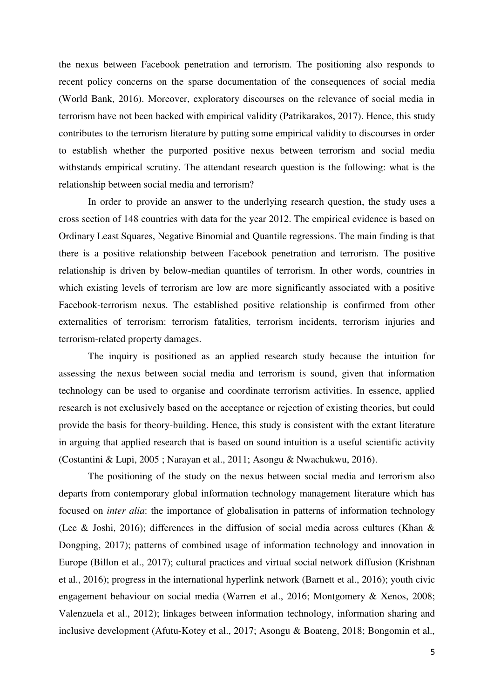the nexus between Facebook penetration and terrorism. The positioning also responds to recent policy concerns on the sparse documentation of the consequences of social media (World Bank, 2016). Moreover, exploratory discourses on the relevance of social media in terrorism have not been backed with empirical validity (Patrikarakos, 2017). Hence, this study contributes to the terrorism literature by putting some empirical validity to discourses in order to establish whether the purported positive nexus between terrorism and social media withstands empirical scrutiny. The attendant research question is the following: what is the relationship between social media and terrorism?

 In order to provide an answer to the underlying research question, the study uses a cross section of 148 countries with data for the year 2012. The empirical evidence is based on Ordinary Least Squares, Negative Binomial and Quantile regressions. The main finding is that there is a positive relationship between Facebook penetration and terrorism. The positive relationship is driven by below-median quantiles of terrorism. In other words, countries in which existing levels of terrorism are low are more significantly associated with a positive Facebook-terrorism nexus. The established positive relationship is confirmed from other externalities of terrorism: terrorism fatalities, terrorism incidents, terrorism injuries and terrorism-related property damages.

 The inquiry is positioned as an applied research study because the intuition for assessing the nexus between social media and terrorism is sound, given that information technology can be used to organise and coordinate terrorism activities. In essence, applied research is not exclusively based on the acceptance or rejection of existing theories, but could provide the basis for theory-building. Hence, this study is consistent with the extant literature in arguing that applied research that is based on sound intuition is a useful scientific activity (Costantini & Lupi, 2005 ; Narayan et al., 2011; Asongu & Nwachukwu, 2016).

 The positioning of the study on the nexus between social media and terrorism also departs from contemporary global information technology management literature which has focused on *inter alia*: the importance of globalisation in patterns of information technology (Lee & Joshi, 2016); differences in the diffusion of social media across cultures (Khan & Dongping, 2017); patterns of combined usage of information technology and innovation in Europe (Billon et al., 2017); cultural practices and virtual social network diffusion (Krishnan et al., 2016); progress in the international hyperlink network (Barnett et al., 2016); youth civic engagement behaviour on social media (Warren et al., 2016; Montgomery & Xenos, 2008; Valenzuela et al., 2012); linkages between information technology, information sharing and inclusive development (Afutu-Kotey et al., 2017; Asongu & Boateng, 2018; Bongomin et al.,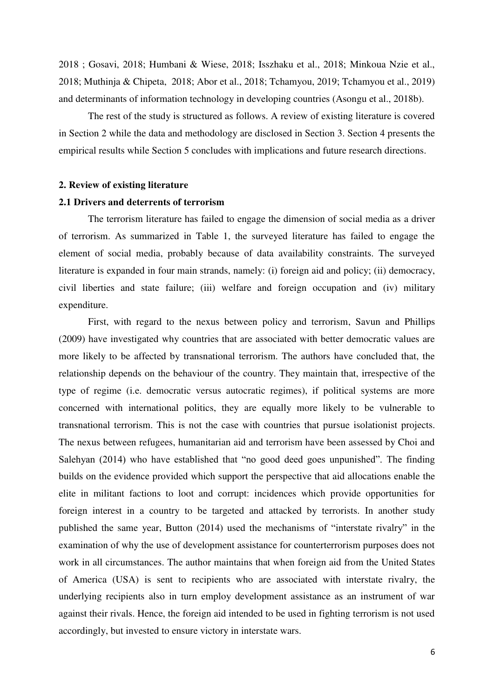2018 ; Gosavi, 2018; Humbani & Wiese, 2018; Isszhaku et al., 2018; Minkoua Nzie et al., 2018; Muthinja & Chipeta, 2018; Abor et al., 2018; Tchamyou, 2019; Tchamyou et al., 2019) and determinants of information technology in developing countries (Asongu et al., 2018b).

The rest of the study is structured as follows. A review of existing literature is covered in Section 2 while the data and methodology are disclosed in Section 3. Section 4 presents the empirical results while Section 5 concludes with implications and future research directions.

#### **2. Review of existing literature**

#### **2.1 Drivers and deterrents of terrorism**

The terrorism literature has failed to engage the dimension of social media as a driver of terrorism. As summarized in Table 1, the surveyed literature has failed to engage the element of social media, probably because of data availability constraints. The surveyed literature is expanded in four main strands, namely: (i) foreign aid and policy; (ii) democracy, civil liberties and state failure; (iii) welfare and foreign occupation and (iv) military expenditure.

First, with regard to the nexus between policy and terrorism, Savun and Phillips (2009) have investigated why countries that are associated with better democratic values are more likely to be affected by transnational terrorism. The authors have concluded that, the relationship depends on the behaviour of the country. They maintain that, irrespective of the type of regime (i.e. democratic versus autocratic regimes), if political systems are more concerned with international politics, they are equally more likely to be vulnerable to transnational terrorism. This is not the case with countries that pursue isolationist projects. The nexus between refugees, humanitarian aid and terrorism have been assessed by Choi and Salehyan (2014) who have established that "no good deed goes unpunished". The finding builds on the evidence provided which support the perspective that aid allocations enable the elite in militant factions to loot and corrupt: incidences which provide opportunities for foreign interest in a country to be targeted and attacked by terrorists. In another study published the same year, Button (2014) used the mechanisms of "interstate rivalry" in the examination of why the use of development assistance for counterterrorism purposes does not work in all circumstances. The author maintains that when foreign aid from the United States of America (USA) is sent to recipients who are associated with interstate rivalry, the underlying recipients also in turn employ development assistance as an instrument of war against their rivals. Hence, the foreign aid intended to be used in fighting terrorism is not used accordingly, but invested to ensure victory in interstate wars.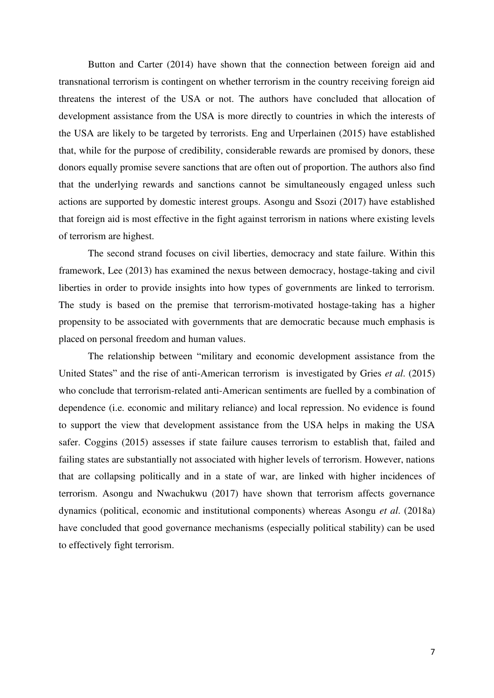Button and Carter (2014) have shown that the connection between foreign aid and transnational terrorism is contingent on whether terrorism in the country receiving foreign aid threatens the interest of the USA or not. The authors have concluded that allocation of development assistance from the USA is more directly to countries in which the interests of the USA are likely to be targeted by terrorists. Eng and Urperlainen (2015) have established that, while for the purpose of credibility, considerable rewards are promised by donors, these donors equally promise severe sanctions that are often out of proportion. The authors also find that the underlying rewards and sanctions cannot be simultaneously engaged unless such actions are supported by domestic interest groups. Asongu and Ssozi (2017) have established that foreign aid is most effective in the fight against terrorism in nations where existing levels of terrorism are highest.

The second strand focuses on civil liberties, democracy and state failure. Within this framework, Lee (2013) has examined the nexus between democracy, hostage-taking and civil liberties in order to provide insights into how types of governments are linked to terrorism. The study is based on the premise that terrorism-motivated hostage-taking has a higher propensity to be associated with governments that are democratic because much emphasis is placed on personal freedom and human values.

The relationship between "military and economic development assistance from the United States" and the rise of anti-American terrorism is investigated by Gries *et al*. (2015) who conclude that terrorism-related anti-American sentiments are fuelled by a combination of dependence (i.e. economic and military reliance) and local repression. No evidence is found to support the view that development assistance from the USA helps in making the USA safer. Coggins (2015) assesses if state failure causes terrorism to establish that, failed and failing states are substantially not associated with higher levels of terrorism. However, nations that are collapsing politically and in a state of war, are linked with higher incidences of terrorism. Asongu and Nwachukwu (2017) have shown that terrorism affects governance dynamics (political, economic and institutional components) whereas Asongu *et al*. (2018a) have concluded that good governance mechanisms (especially political stability) can be used to effectively fight terrorism.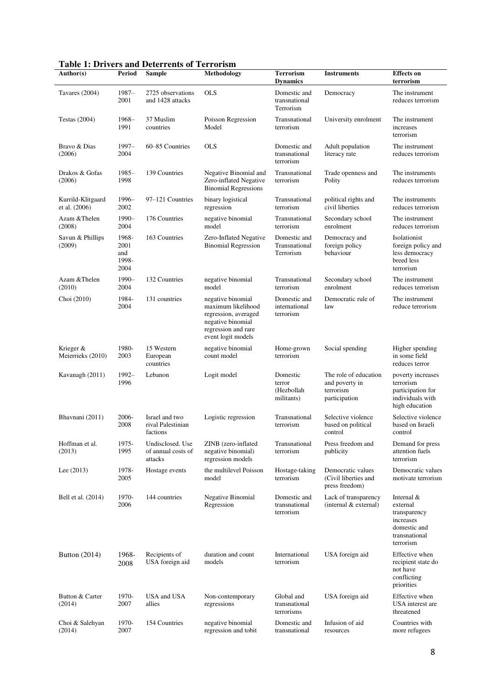| Author(s)                          | Period                                | <b>Sample</b>                                     | Methodology                                                                                                                       | <b>Terrorism</b><br><b>Dynamics</b>            | <b>Instruments</b>                                                    | <b>Effects</b> on<br>terrorism                                                                      |
|------------------------------------|---------------------------------------|---------------------------------------------------|-----------------------------------------------------------------------------------------------------------------------------------|------------------------------------------------|-----------------------------------------------------------------------|-----------------------------------------------------------------------------------------------------|
| Tavares (2004)                     | $1987 -$<br>2001                      | 2725 observations<br>and 1428 attacks             | <b>OLS</b>                                                                                                                        | Domestic and<br>transnational<br>Terrorism     | Democracy                                                             | The instrument<br>reduces terrorism                                                                 |
| <b>Testas</b> (2004)               | $1968-$<br>1991                       | 37 Muslim<br>countries                            | Poisson Regression<br>Model                                                                                                       | Transnational<br>terrorism                     | University enrolment                                                  | The instrument<br>increases<br>terrorism                                                            |
| Bravo & Dias<br>(2006)             | 1997-<br>2004                         | 60–85 Countries                                   | <b>OLS</b>                                                                                                                        | Domestic and<br>transnational<br>terrorism     | Adult population<br>literacy rate                                     | The instrument<br>reduces terrorism                                                                 |
| Drakos & Gofas<br>(2006)           | $1985-$<br>1998                       | 139 Countries                                     | Negative Binomial and<br>Zero-inflated Negative<br><b>Binomial Regressions</b>                                                    | Transnational<br>terrorism                     | Trade openness and<br>Polity                                          | The instruments<br>reduces terrorism                                                                |
| Kurrild-Klitgaard<br>et al. (2006) | 1996-<br>2002                         | 97-121 Countries                                  | binary logistical<br>regression                                                                                                   | Transnational<br>terrorism                     | political rights and<br>civil liberties                               | The instruments<br>reduces terrorism                                                                |
| Azam &Thelen<br>(2008)             | 1990-<br>2004                         | 176 Countries                                     | negative binomial<br>model                                                                                                        | Transnational<br>terrorism                     | Secondary school<br>enrolment                                         | The instrument<br>reduces terrorism                                                                 |
| Savun & Phillips<br>(2009)         | 1968-<br>2001<br>and<br>1998-<br>2004 | 163 Countries                                     | Zero-Inflated Negative<br><b>Binomial Regression</b>                                                                              | Domestic and<br>Transnational<br>Terrorism     | Democracy and<br>foreign policy<br>behaviour                          | Isolationist<br>foreign policy and<br>less democracy<br>breed less<br>terrorism                     |
| Azam &Thelen<br>(2010)             | 1990-<br>2004                         | 132 Countries                                     | negative binomial<br>model                                                                                                        | Transnational<br>terrorism                     | Secondary school<br>enrolment                                         | The instrument<br>reduces terrorism                                                                 |
| Choi (2010)                        | 1984-<br>2004                         | 131 countries                                     | negative binomial<br>maximum likelihood<br>regression, averaged<br>negative binomial<br>regression and rare<br>event logit models | Domestic and<br>international<br>terrorism     | Democratic rule of<br>law                                             | The instrument<br>reduce terrorism                                                                  |
| Krieger &<br>Meierrieks (2010)     | 1980-<br>2003                         | 15 Western<br>European<br>countries               | negative binomial<br>count model                                                                                                  | Home-grown<br>terrorism                        | Social spending                                                       | Higher spending<br>in some field<br>reduces terror                                                  |
| Kavanagh (2011)                    | $1992 -$<br>1996                      | Lebanon                                           | Logit model                                                                                                                       | Domestic<br>terror<br>(Hezbollah<br>militants) | The role of education<br>and poverty in<br>terrorism<br>participation | poverty increases<br>terrorism<br>participation for<br>individuals with<br>high education           |
| Bhavnani (2011)                    | 2006-<br>2008                         | Israel and two<br>rival Palestinian<br>factions   | Logistic regression                                                                                                               | Transnational<br>terrorism                     | Selective violence<br>based on political<br>control                   | Selective violence<br>based on Israeli<br>control                                                   |
| Hoffman et al.<br>(2013)           | 1975-<br>1995                         | Undisclosed. Use<br>of annual costs of<br>attacks | ZINB (zero-inflated<br>negative binomial)<br>regression models                                                                    | Transnational<br>terrorism                     | Press freedom and<br>publicity                                        | Demand for press<br>attention fuels<br>terrorism                                                    |
| Lee $(2013)$                       | 1978-<br>2005                         | Hostage events                                    | the multilevel Poisson<br>model                                                                                                   | Hostage-taking<br>terrorism                    | Democratic values<br>(Civil liberties and<br>press freedom)           | Democratic values<br>motivate terrorism                                                             |
| Bell et al. (2014)                 | 1970-<br>2006                         | 144 countries                                     | Negative Binomial<br>Regression                                                                                                   | Domestic and<br>transnational<br>terrorism     | Lack of transparency<br>(internal & external)                         | Internal $&$<br>external<br>transparency<br>increases<br>domestic and<br>transnational<br>terrorism |
| Button $(2014)$                    | 1968-<br>2008                         | Recipients of<br>USA foreign aid                  | duration and count<br>models                                                                                                      | International<br>terrorism                     | USA foreign aid                                                       | Effective when<br>recipient state do<br>not have<br>conflicting<br>priorities                       |
| Button & Carter<br>(2014)          | 1970-<br>2007                         | USA and USA<br>allies                             | Non-contemporary<br>regressions                                                                                                   | Global and<br>transnational<br>terrorisms      | USA foreign aid                                                       | Effective when<br>USA interest are<br>threatened                                                    |
| Choi & Salehyan<br>(2014)          | 1970-<br>2007                         | 154 Countries                                     | negative binomial<br>regression and tobit                                                                                         | Domestic and<br>transnational                  | Infusion of aid<br>resources                                          | Countries with<br>more refugees                                                                     |

## **Table 1: Drivers and Deterrents of Terrorism**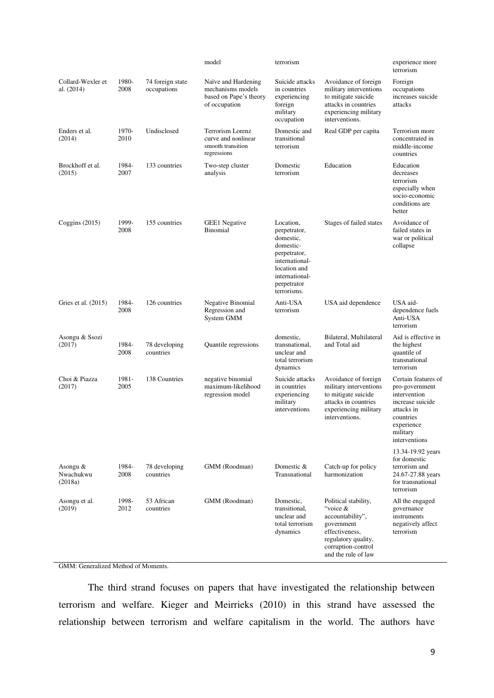|                                  |               |                                 | model                                                                               | terrorism                                                                                                                                             |                                                                                                                                                          | experience more<br>terrorism                                                                                                                                         |
|----------------------------------|---------------|---------------------------------|-------------------------------------------------------------------------------------|-------------------------------------------------------------------------------------------------------------------------------------------------------|----------------------------------------------------------------------------------------------------------------------------------------------------------|----------------------------------------------------------------------------------------------------------------------------------------------------------------------|
| Collard-Wexler et<br>al. (2014)  | 1980-<br>2008 | 74 foreign state<br>occupations | Naïve and Hardening<br>mechanisms models<br>based on Pape's theory<br>of occupation | Suicide attacks<br>in countries<br>experiencing<br>foreign<br>military<br>occupation                                                                  | Avoidance of foreign<br>military interventions<br>to mitigate suicide<br>attacks in countries<br>experiencing military<br>interventions.                 | Foreign<br>occupations<br>increases suicide<br>attacks                                                                                                               |
| Enders et al.<br>(2014)          | 1970-<br>2010 | Undisclosed                     | Terrorism Lorenz<br>curve and nonlinear<br>smooth transition<br>regressions         | Domestic and<br>transitional<br>terrorism                                                                                                             | Real GDP per capita                                                                                                                                      | Terrorism more<br>concentrated in<br>middle-income<br>countries                                                                                                      |
| Brockhoff et al.<br>(2015)       | 1984-<br>2007 | 133 countries                   | Two-step cluster<br>analysis                                                        | Domestic<br>terrorism                                                                                                                                 | Education                                                                                                                                                | Education<br>decreases<br>terrorism<br>especially when<br>socio-economic<br>conditions are<br>better                                                                 |
| Coggins $(2015)$                 | 1999-<br>2008 | 155 countries                   | <b>GEE1</b> Negative<br><b>Binomial</b>                                             | Location,<br>perpetrator,<br>domestic,<br>domestic-<br>perpetrator,<br>international-<br>location and<br>international-<br>perpetrator<br>terrorisms. | Stages of failed states                                                                                                                                  | Avoidance of<br>failed states in<br>war or political<br>collapse                                                                                                     |
| Gries et al. $(2015)$            | 1984-<br>2008 | 126 countries                   | Negative Binomial<br>Regression and<br>System GMM                                   | Anti-USA<br>terrorism                                                                                                                                 | USA aid dependence                                                                                                                                       | USA aid-<br>dependence fuels<br>Anti-USA<br>terrorism                                                                                                                |
| Asongu & Ssozi<br>(2017)         | 1984-<br>2008 | 78 developing<br>countries      | Quantile regressions                                                                | domestic,<br>transnational,<br>unclear and<br>total terrorism<br>dynamics                                                                             | Bilateral, Multilateral<br>and Total aid                                                                                                                 | Aid is effective in<br>the highest<br>quantile of<br>transnational<br>terrorism                                                                                      |
| Choi & Piazza<br>(2017)          | 1981-<br>2005 | 138 Countries                   | negative binomial<br>maximum-likelihood<br>regression model                         | Suicide attacks<br>in countries<br>experiencing<br>military<br>interventions                                                                          | Avoidance of foreign<br>military interventions<br>to mitigate suicide<br>attacks in countries<br>experiencing military<br>interventions.                 | Certain features of<br>pro-government<br>intervention<br>increase suicide<br>attacks in<br>countries<br>experience<br>military<br>interventions<br>13.34-19.92 years |
| Asongu &<br>Nwachukwu<br>(2018a) | 1984-<br>2008 | 78 developing<br>countries      | GMM (Roodman)                                                                       | Domestic &<br>Transnational                                                                                                                           | Catch-up for policy<br>harmonization                                                                                                                     | for domestic<br>terrorism and<br>24.67-27.88 years<br>for transnational<br>terrorism                                                                                 |
| Asongu et al.<br>(2019)          | 1998-<br>2012 | 53 African<br>countries         | GMM (Roodman)                                                                       | Domestic,<br>transitional,<br>unclear and<br>total terrorism<br>dynamics                                                                              | Political stability,<br>"voice &<br>accountability",<br>government<br>effectiveness,<br>regulatory quality,<br>corruption-control<br>and the rule of law | All the engaged<br>governance<br>instruments<br>negatively affect<br>terrorism                                                                                       |

GMM: Generalized Method of Moments.

 The third strand focuses on papers that have investigated the relationship between terrorism and welfare. Kieger and Meirrieks (2010) in this strand have assessed the relationship between terrorism and welfare capitalism in the world. The authors have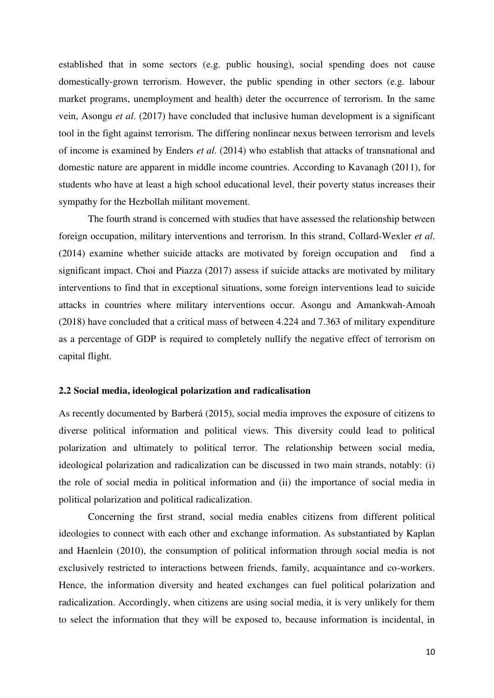established that in some sectors (e.g. public housing), social spending does not cause domestically-grown terrorism. However, the public spending in other sectors (e.g. labour market programs, unemployment and health) deter the occurrence of terrorism. In the same vein, Asongu *et al*. (2017) have concluded that inclusive human development is a significant tool in the fight against terrorism. The differing nonlinear nexus between terrorism and levels of income is examined by Enders *et al*. (2014) who establish that attacks of transnational and domestic nature are apparent in middle income countries. According to Kavanagh (2011), for students who have at least a high school educational level, their poverty status increases their sympathy for the Hezbollah militant movement.

The fourth strand is concerned with studies that have assessed the relationship between foreign occupation, military interventions and terrorism. In this strand, Collard-Wexler *et al*. (2014) examine whether suicide attacks are motivated by foreign occupation and find a significant impact. Choi and Piazza (2017) assess if suicide attacks are motivated by military interventions to find that in exceptional situations, some foreign interventions lead to suicide attacks in countries where military interventions occur. Asongu and Amankwah-Amoah (2018) have concluded that a critical mass of between 4.224 and 7.363 of military expenditure as a percentage of GDP is required to completely nullify the negative effect of terrorism on capital flight.

#### **2.2 Social media, ideological polarization and radicalisation**

As recently documented by Barberá (2015), social media improves the exposure of citizens to diverse political information and political views. This diversity could lead to political polarization and ultimately to political terror. The relationship between social media, ideological polarization and radicalization can be discussed in two main strands, notably: (i) the role of social media in political information and (ii) the importance of social media in political polarization and political radicalization.

 Concerning the first strand, social media enables citizens from different political ideologies to connect with each other and exchange information. As substantiated by Kaplan and Haenlein (2010), the consumption of political information through social media is not exclusively restricted to interactions between friends, family, acquaintance and co-workers. Hence, the information diversity and heated exchanges can fuel political polarization and radicalization. Accordingly, when citizens are using social media, it is very unlikely for them to select the information that they will be exposed to, because information is incidental, in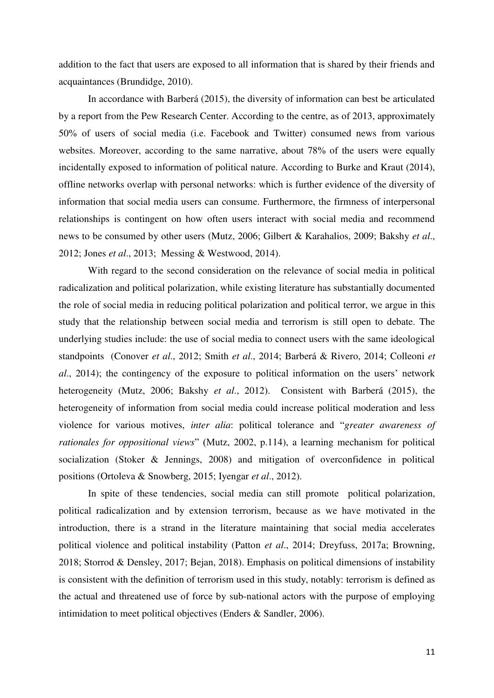addition to the fact that users are exposed to all information that is shared by their friends and acquaintances (Brundidge, 2010).

 In accordance with Barberá (2015), the diversity of information can best be articulated by a report from the Pew Research Center. According to the centre, as of 2013, approximately 50% of users of social media (i.e. Facebook and Twitter) consumed news from various websites. Moreover, according to the same narrative, about 78% of the users were equally incidentally exposed to information of political nature. According to Burke and Kraut (2014), offline networks overlap with personal networks: which is further evidence of the diversity of information that social media users can consume. Furthermore, the firmness of interpersonal relationships is contingent on how often users interact with social media and recommend news to be consumed by other users (Mutz, 2006; Gilbert & Karahalios, 2009; Bakshy *et al*., 2012; Jones *et al*., 2013; Messing & Westwood, 2014).

 With regard to the second consideration on the relevance of social media in political radicalization and political polarization, while existing literature has substantially documented the role of social media in reducing political polarization and political terror, we argue in this study that the relationship between social media and terrorism is still open to debate. The underlying studies include: the use of social media to connect users with the same ideological standpoints (Conover *et al*., 2012; Smith *et al*., 2014; Barberá & Rivero, 2014; Colleoni *et al*., 2014); the contingency of the exposure to political information on the users' network heterogeneity (Mutz, 2006; Bakshy *et al*., 2012). Consistent with Barberá (2015), the heterogeneity of information from social media could increase political moderation and less violence for various motives, *inter alia*: political tolerance and "*greater awareness of rationales for oppositional views*" (Mutz, 2002, p.114), a learning mechanism for political socialization (Stoker & Jennings, 2008) and mitigation of overconfidence in political positions (Ortoleva & Snowberg, 2015; Iyengar *et al*., 2012).

 In spite of these tendencies, social media can still promote political polarization, political radicalization and by extension terrorism, because as we have motivated in the introduction, there is a strand in the literature maintaining that social media accelerates political violence and political instability (Patton *et al*., 2014; Dreyfuss, 2017a; Browning, 2018; Storrod & Densley, 2017; Bejan, 2018). Emphasis on political dimensions of instability is consistent with the definition of terrorism used in this study, notably: terrorism is defined as the actual and threatened use of force by sub-national actors with the purpose of employing intimidation to meet political objectives (Enders & Sandler, 2006).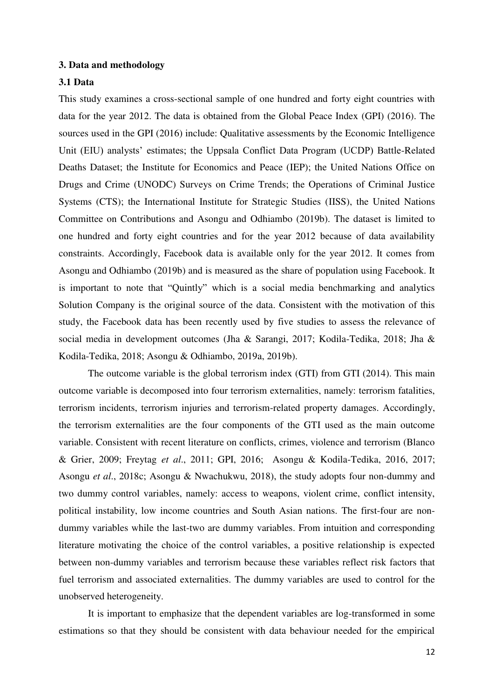#### **3. Data and methodology**

## **3.1 Data**

This study examines a cross-sectional sample of one hundred and forty eight countries with data for the year 2012. The data is obtained from the Global Peace Index (GPI) (2016). The sources used in the GPI (2016) include: Qualitative assessments by the Economic Intelligence Unit (EIU) analysts' estimates; the Uppsala Conflict Data Program (UCDP) Battle-Related Deaths Dataset; the Institute for Economics and Peace (IEP); the United Nations Office on Drugs and Crime (UNODC) Surveys on Crime Trends; the Operations of Criminal Justice Systems (CTS); the International Institute for Strategic Studies (IISS), the United Nations Committee on Contributions and Asongu and Odhiambo (2019b). The dataset is limited to one hundred and forty eight countries and for the year 2012 because of data availability constraints. Accordingly, Facebook data is available only for the year 2012. It comes from Asongu and Odhiambo (2019b) and is measured as the share of population using Facebook. It is important to note that "Quintly" which is a social media benchmarking and analytics Solution Company is the original source of the data. Consistent with the motivation of this study, the Facebook data has been recently used by five studies to assess the relevance of social media in development outcomes (Jha & Sarangi, 2017; Kodila-Tedika, 2018; Jha & Kodila-Tedika, 2018; Asongu & Odhiambo, 2019a, 2019b).

 The outcome variable is the global terrorism index (GTI) from GTI (2014). This main outcome variable is decomposed into four terrorism externalities, namely: terrorism fatalities, terrorism incidents, terrorism injuries and terrorism-related property damages. Accordingly, the terrorism externalities are the four components of the GTI used as the main outcome variable. Consistent with recent literature on conflicts, crimes, violence and terrorism (Blanco & Grier, 2009; Freytag *et al*., 2011; GPI, 2016; Asongu & Kodila-Tedika, 2016, 2017; Asongu *et al*., 2018c; Asongu & Nwachukwu, 2018), the study adopts four non-dummy and two dummy control variables, namely: access to weapons, violent crime, conflict intensity, political instability, low income countries and South Asian nations. The first-four are nondummy variables while the last-two are dummy variables. From intuition and corresponding literature motivating the choice of the control variables, a positive relationship is expected between non-dummy variables and terrorism because these variables reflect risk factors that fuel terrorism and associated externalities. The dummy variables are used to control for the unobserved heterogeneity.

 It is important to emphasize that the dependent variables are log-transformed in some estimations so that they should be consistent with data behaviour needed for the empirical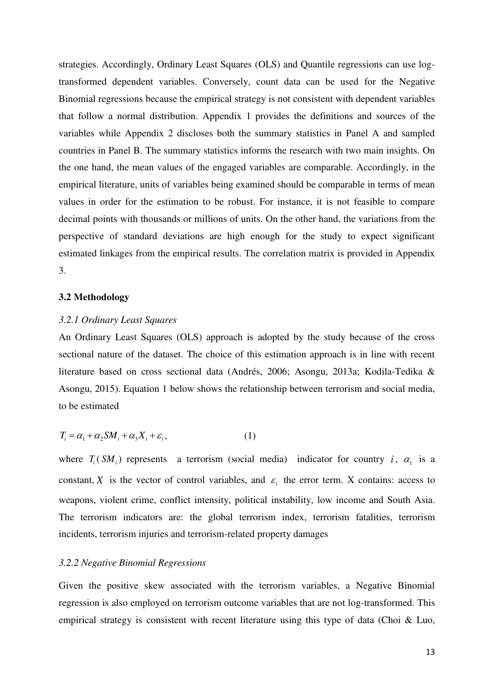strategies. Accordingly, Ordinary Least Squares (OLS) and Quantile regressions can use logtransformed dependent variables. Conversely, count data can be used for the Negative Binomial regressions because the empirical strategy is not consistent with dependent variables that follow a normal distribution. Appendix 1 provides the definitions and sources of the variables while Appendix 2 discloses both the summary statistics in Panel A and sampled countries in Panel B. The summary statistics informs the research with two main insights. On the one hand, the mean values of the engaged variables are comparable. Accordingly, in the empirical literature, units of variables being examined should be comparable in terms of mean values in order for the estimation to be robust. For instance, it is not feasible to compare decimal points with thousands or millions of units. On the other hand, the variations from the perspective of standard deviations are high enough for the study to expect significant estimated linkages from the empirical results. The correlation matrix is provided in Appendix 3.

#### **3.2 Methodology**

#### *3.2.1 Ordinary Least Squares*

An Ordinary Least Squares (OLS) approach is adopted by the study because of the cross sectional nature of the dataset. The choice of this estimation approach is in line with recent literature based on cross sectional data (Andrés, 2006; Asongu, 2013a; Kodila-Tedika & Asongu, 2015). Equation 1 below shows the relationship between terrorism and social media, to be estimated

$$
T_i = \alpha_1 + \alpha_2 SM_i + \alpha_3 X_i + \varepsilon_i, \tag{1}
$$

where  $T_i(SM_i)$  represents a terrorism (social media) indicator for country *i*,  $\alpha_1$  is a constant, *X* is the vector of control variables, and  $\varepsilon$ <sub>i</sub> the error term. *X* contains: access to weapons, violent crime, conflict intensity, political instability, low income and South Asia. The terrorism indicators are: the global terrorism index, terrorism fatalities, terrorism incidents, terrorism injuries and terrorism-related property damages

#### *3.2.2 Negative Binomial Regressions*

Given the positive skew associated with the terrorism variables, a Negative Binomial regression is also employed on terrorism outcome variables that are not log-transformed. This empirical strategy is consistent with recent literature using this type of data (Choi & Luo,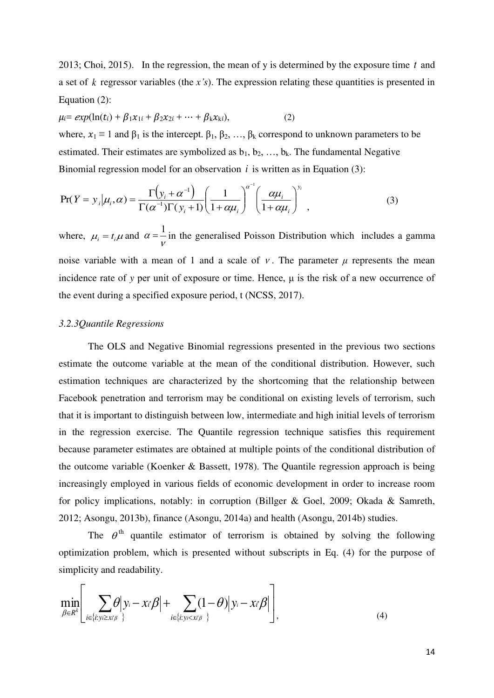2013; Choi, 2015). In the regression, the mean of y is determined by the exposure time *t* and a set of *k* regressor variables (the *x's*). The expression relating these quantities is presented in Equation (2):

 $\mu_i = exp(\ln(t_i) + \beta_1 x_{1i} + \beta_2 x_{2i} + \dots + \beta_k x_{ki}),$  (2)

where,  $x_1 \equiv 1$  and  $\beta_1$  is the intercept.  $\beta_1, \beta_2, \ldots, \beta_k$  correspond to unknown parameters to be estimated. Their estimates are symbolized as  $b_1, b_2, ..., b_k$ . The fundamental Negative Binomial regression model for an observation  $i$  is written as in Equation (3):

$$
\Pr(Y = y_i | \mu_i, \alpha) = \frac{\Gamma(y_i + \alpha^{-1})}{\Gamma(\alpha^{-1})\Gamma(y_i + 1)} \left(\frac{1}{1 + \alpha\mu_i}\right)^{\alpha^{-1}} \left(\frac{\alpha\mu_i}{1 + \alpha\mu_i}\right)^{y_i}, \tag{3}
$$

where,  $\mu_i = t_i \mu$  and  $\alpha = \frac{1}{V}$  $\alpha = \frac{1}{1}$  the generalised Poisson Distribution which includes a gamma noise variable with a mean of 1 and a scale of  $\nu$ . The parameter  $\mu$  represents the mean incidence rate of *y* per unit of exposure or time. Hence, μ is the risk of a new occurrence of the event during a specified exposure period, t (NCSS, 2017).

## *3.2.3Quantile Regressions*

 The OLS and Negative Binomial regressions presented in the previous two sections estimate the outcome variable at the mean of the conditional distribution. However, such estimation techniques are characterized by the shortcoming that the relationship between Facebook penetration and terrorism may be conditional on existing levels of terrorism, such that it is important to distinguish between low, intermediate and high initial levels of terrorism in the regression exercise. The Quantile regression technique satisfies this requirement because parameter estimates are obtained at multiple points of the conditional distribution of the outcome variable (Koenker & Bassett, 1978). The Quantile regression approach is being increasingly employed in various fields of economic development in order to increase room for policy implications, notably: in corruption (Billger & Goel, 2009; Okada & Samreth, 2012; Asongu, 2013b), finance (Asongu, 2014a) and health (Asongu, 2014b) studies.

The  $\theta^{\text{th}}$  quantile estimator of terrorism is obtained by solving the following optimization problem, which is presented without subscripts in Eq. (4) for the purpose of simplicity and readability.

$$
\min_{\beta \in R^k} \left[ \sum_{i \in \{i: y \ge x \ne \beta\}} \theta \middle| y_i - x_i \beta \middle| + \sum_{i \in \{i: y \le x \ne \beta\}} (1 - \theta) \middle| y_i - x_i \beta \middle| \right],\tag{4}
$$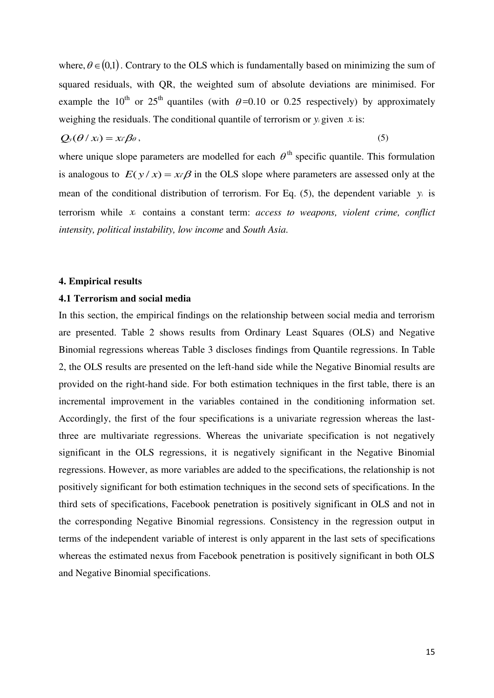where,  $\theta \in (0,1)$ . Contrary to the OLS which is fundamentally based on minimizing the sum of squared residuals, with QR, the weighted sum of absolute deviations are minimised. For example the 10<sup>th</sup> or 25<sup>th</sup> quantiles (with  $\theta$ =0.10 or 0.25 respectively) by approximately weighing the residuals. The conditional quantile of terrorism or  $y_i$  given  $x_i$  is:

$$
Q_{y}(\theta / x_{i}) = x_{i} \beta_{\theta}, \qquad (5)
$$

where unique slope parameters are modelled for each  $\theta^{\text{th}}$  specific quantile. This formulation is analogous to  $E(y/x) = x_i/\beta$  in the OLS slope where parameters are assessed only at the mean of the conditional distribution of terrorism. For Eq. (5), the dependent variable  $y_i$  is terrorism while *xi* contains a constant term: *access to weapons, violent crime, conflict intensity, political instability, low income* and *South Asia*.

#### **4. Empirical results**

#### **4.1 Terrorism and social media**

In this section, the empirical findings on the relationship between social media and terrorism are presented. Table 2 shows results from Ordinary Least Squares (OLS) and Negative Binomial regressions whereas Table 3 discloses findings from Quantile regressions. In Table 2, the OLS results are presented on the left-hand side while the Negative Binomial results are provided on the right-hand side. For both estimation techniques in the first table, there is an incremental improvement in the variables contained in the conditioning information set. Accordingly, the first of the four specifications is a univariate regression whereas the lastthree are multivariate regressions. Whereas the univariate specification is not negatively significant in the OLS regressions, it is negatively significant in the Negative Binomial regressions. However, as more variables are added to the specifications, the relationship is not positively significant for both estimation techniques in the second sets of specifications. In the third sets of specifications, Facebook penetration is positively significant in OLS and not in the corresponding Negative Binomial regressions. Consistency in the regression output in terms of the independent variable of interest is only apparent in the last sets of specifications whereas the estimated nexus from Facebook penetration is positively significant in both OLS and Negative Binomial specifications.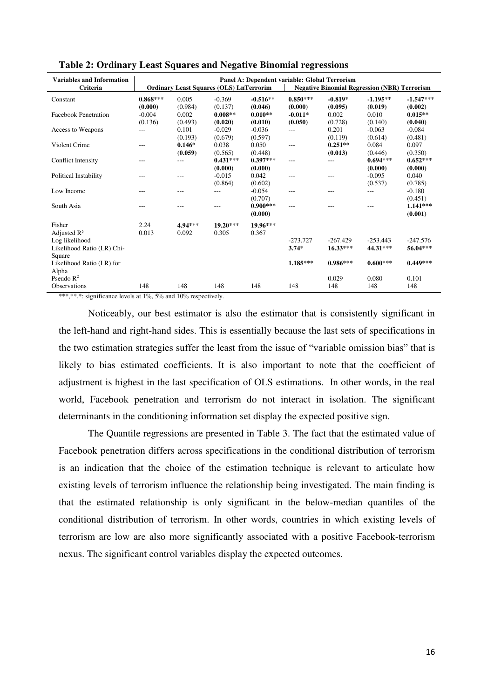| <b>Variables and Information</b><br>Criteria |                       |                     | <b>Ordinary Least Squares (OLS) LnTerrorim</b> |                       | Panel A: Dependent variable: Global Terrorism<br><b>Negative Binomial Regression (NBR) Terrorism</b> |                      |                       |                        |  |
|----------------------------------------------|-----------------------|---------------------|------------------------------------------------|-----------------------|------------------------------------------------------------------------------------------------------|----------------------|-----------------------|------------------------|--|
| Constant                                     | $0.868***$<br>(0.000) | 0.005<br>(0.984)    | $-0.369$<br>(0.137)                            | $-0.516**$<br>(0.046) | $0.850***$<br>(0.000)                                                                                | $-0.819*$<br>(0.095) | $-1.195**$<br>(0.019) | $-1.547***$<br>(0.002) |  |
| <b>Facebook Penetration</b>                  | $-0.004$<br>(0.136)   | 0.002<br>(0.493)    | $0.008**$<br>(0.020)                           | $0.010**$<br>(0.010)  | $-0.011*$<br>(0.050)                                                                                 | 0.002<br>(0.728)     | 0.010<br>(0.140)      | $0.015**$<br>(0.040)   |  |
| Access to Weapons                            | ---                   | 0.101               | $-0.029$                                       | $-0.036$              | ---                                                                                                  | 0.201                | $-0.063$              | $-0.084$               |  |
| Violent Crime                                | $- - -$               | (0.193)<br>$0.146*$ | (0.679)<br>0.038                               | (0.597)<br>0.050      | $---$                                                                                                | (0.119)<br>$0.251**$ | (0.614)<br>0.084      | (0.481)<br>0.097       |  |
| Conflict Intensity                           | $---$                 | (0.059)<br>---      | (0.565)<br>$0.431***$                          | (0.448)<br>$0.397***$ | ---                                                                                                  | (0.013)<br>---       | (0.446)<br>$0.694***$ | (0.350)<br>$0.652***$  |  |
| Political Instability                        |                       | ---                 | (0.000)<br>$-0.015$                            | (0.000)<br>0.042      | ---                                                                                                  | ---                  | (0.000)<br>$-0.095$   | (0.000)<br>0.040       |  |
| Low Income                                   | ---                   | ---                 | (0.864)<br>---                                 | (0.602)<br>$-0.054$   | ---                                                                                                  | ---                  | (0.537)<br>$---$      | (0.785)<br>$-0.180$    |  |
| South Asia                                   | ---                   | ---                 | ---                                            | (0.707)<br>$0.900***$ | ---                                                                                                  | ---                  | ---                   | (0.451)<br>$1.141***$  |  |
|                                              |                       |                     |                                                | (0.000)               |                                                                                                      |                      |                       | (0.001)                |  |
| Fisher<br>Adjusted R <sup>2</sup>            | 2.24<br>0.013         | 4.94***<br>0.092    | $19.20***$<br>0.305                            | 19.96***<br>0.367     |                                                                                                      |                      |                       |                        |  |
| Log likelihood                               |                       |                     |                                                |                       | $-273.727$                                                                                           | $-267.429$           | $-253.443$            | $-247.576$             |  |
| Likelihood Ratio (LR) Chi-<br>Square         |                       |                     |                                                |                       | $3.74*$                                                                                              | $16.33***$           | 44.31***              | 56.04***               |  |
| Likelihood Ratio (LR) for<br>Alpha           |                       |                     |                                                |                       | $1.185***$                                                                                           | $0.986***$           | $0.600***$            | $0.449***$             |  |
| Pseudo $R^2$<br>Observations                 | 148                   | 148                 | 148                                            | 148                   | 148                                                                                                  | 0.029<br>148         | 0.080<br>148          | 0.101<br>148           |  |

**Table 2: Ordinary Least Squares and Negative Binomial regressions** 

\*\*\*,\*\*,\*: significance levels at  $1\%$ ,  $5\%$  and  $10\%$  respectively.

Noticeably, our best estimator is also the estimator that is consistently significant in the left-hand and right-hand sides. This is essentially because the last sets of specifications in the two estimation strategies suffer the least from the issue of "variable omission bias" that is likely to bias estimated coefficients. It is also important to note that the coefficient of adjustment is highest in the last specification of OLS estimations. In other words, in the real world, Facebook penetration and terrorism do not interact in isolation. The significant determinants in the conditioning information set display the expected positive sign.

The Quantile regressions are presented in Table 3. The fact that the estimated value of Facebook penetration differs across specifications in the conditional distribution of terrorism is an indication that the choice of the estimation technique is relevant to articulate how existing levels of terrorism influence the relationship being investigated. The main finding is that the estimated relationship is only significant in the below-median quantiles of the conditional distribution of terrorism. In other words, countries in which existing levels of terrorism are low are also more significantly associated with a positive Facebook-terrorism nexus. The significant control variables display the expected outcomes.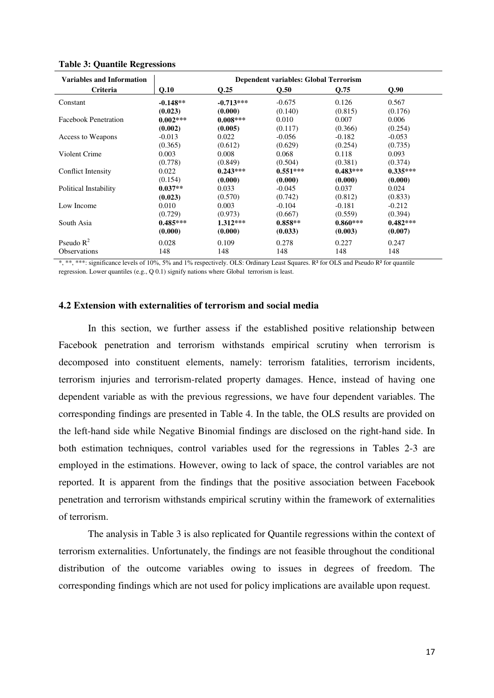| <b>Variables and Information</b> |            |             | <b>Dependent variables: Global Terrorism</b> |            |            |
|----------------------------------|------------|-------------|----------------------------------------------|------------|------------|
| <b>Criteria</b>                  | Q.10       | Q.25        | Q.50                                         | Q.75       | Q.90       |
| Constant                         | $-0.148**$ | $-0.713***$ | $-0.675$                                     | 0.126      | 0.567      |
|                                  | (0.023)    | (0.000)     | (0.140)                                      | (0.815)    | (0.176)    |
| <b>Facebook Penetration</b>      | $0.002***$ | $0.008***$  | 0.010                                        | 0.007      | 0.006      |
|                                  | (0.002)    | (0.005)     | (0.117)                                      | (0.366)    | (0.254)    |
| Access to Weapons                | $-0.013$   | 0.022       | $-0.056$                                     | $-0.182$   | $-0.053$   |
|                                  | (0.365)    | (0.612)     | (0.629)                                      | (0.254)    | (0.735)    |
| Violent Crime                    | 0.003      | 0.008       | 0.068                                        | 0.118      | 0.093      |
|                                  | (0.778)    | (0.849)     | (0.504)                                      | (0.381)    | (0.374)    |
| <b>Conflict Intensity</b>        | 0.022      | $0.243***$  | $0.551***$                                   | $0.483***$ | $0.335***$ |
|                                  | (0.154)    | (0.000)     | (0.000)                                      | (0.000)    | (0.000)    |
| Political Instability            | $0.037**$  | 0.033       | $-0.045$                                     | 0.037      | 0.024      |
|                                  | (0.023)    | (0.570)     | (0.742)                                      | (0.812)    | (0.833)    |
| Low Income                       | 0.010      | 0.003       | $-0.104$                                     | $-0.181$   | $-0.212$   |
|                                  | (0.729)    | (0.973)     | (0.667)                                      | (0.559)    | (0.394)    |
| South Asia                       | $0.485***$ | $1.312***$  | $0.858**$                                    | $0.860***$ | $0.482***$ |
|                                  | (0.000)    | (0.000)     | (0.033)                                      | (0.003)    | (0.007)    |
| Pseudo $\mathbb{R}^2$            | 0.028      | 0.109       | 0.278                                        | 0.227      | 0.247      |
| <b>Observations</b>              | 148        | 148         | 148                                          | 148        | 148        |

#### **Table 3: Quantile Regressions**

\*, \*\*, \*\*\*: significance levels of 10%, 5% and 1% respectively. OLS: Ordinary Least Squares. R² for OLS and Pseudo R² for quantile regression. Lower quantiles (e.g., Q 0.1) signify nations where Global terrorism is least.

#### **4.2 Extension with externalities of terrorism and social media**

 In this section, we further assess if the established positive relationship between Facebook penetration and terrorism withstands empirical scrutiny when terrorism is decomposed into constituent elements, namely: terrorism fatalities, terrorism incidents, terrorism injuries and terrorism-related property damages. Hence, instead of having one dependent variable as with the previous regressions, we have four dependent variables. The corresponding findings are presented in Table 4. In the table, the OLS results are provided on the left-hand side while Negative Binomial findings are disclosed on the right-hand side. In both estimation techniques, control variables used for the regressions in Tables 2-3 are employed in the estimations. However, owing to lack of space, the control variables are not reported. It is apparent from the findings that the positive association between Facebook penetration and terrorism withstands empirical scrutiny within the framework of externalities of terrorism.

 The analysis in Table 3 is also replicated for Quantile regressions within the context of terrorism externalities. Unfortunately, the findings are not feasible throughout the conditional distribution of the outcome variables owing to issues in degrees of freedom. The corresponding findings which are not used for policy implications are available upon request.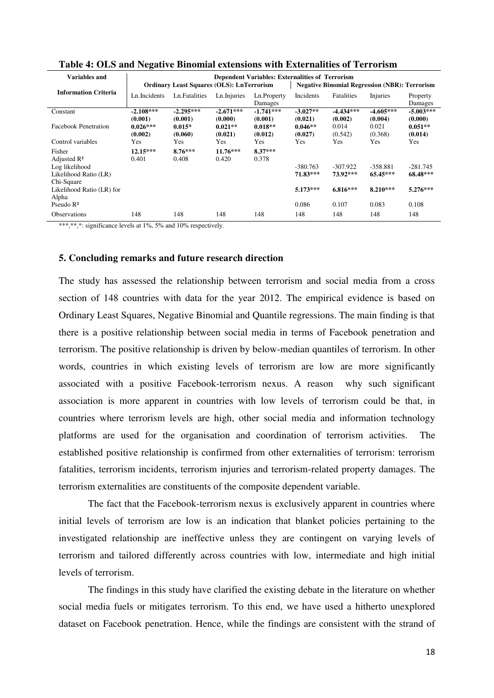| Variables and                                         | <b>Dependent Variables: Externalities of Terrorism</b><br><b>Ordinary Least Squares (OLS): LnTerrorism</b><br><b>Negative Binomial Regression (NBR): Terrorism</b> |                                               |                                                |                                                |                                               |                                            |                                            |                                                |  |  |
|-------------------------------------------------------|--------------------------------------------------------------------------------------------------------------------------------------------------------------------|-----------------------------------------------|------------------------------------------------|------------------------------------------------|-----------------------------------------------|--------------------------------------------|--------------------------------------------|------------------------------------------------|--|--|
| <b>Information Criteria</b>                           | Ln. Incidents                                                                                                                                                      | Ln. Fatalities                                | Ln. Injuries                                   | Ln.Property<br>Damages                         | Incidents                                     | Fatalities                                 | Injuries                                   | Property<br>Damages                            |  |  |
| Constant<br>Facebook Penetration                      | $-2.108***$<br>(0.001)<br>$0.026***$<br>(0.002)                                                                                                                    | $-2.295***$<br>(0.001)<br>$0.015*$<br>(0.060) | $-2.671***$<br>(0.000)<br>$0.021**$<br>(0.021) | $-1.741***$<br>(0.001)<br>$0.018**$<br>(0.012) | $-3.027**$<br>(0.021)<br>$0.046**$<br>(0.027) | $-4.434***$<br>(0.002)<br>0.014<br>(0.542) | $-4.605***$<br>(0.004)<br>0.021<br>(0.368) | $-5.003***$<br>(0.000)<br>$0.051**$<br>(0.014) |  |  |
| Control variables                                     | Yes                                                                                                                                                                | Yes                                           | Yes                                            | Yes                                            | Yes                                           | Yes                                        | Yes                                        | Yes                                            |  |  |
| Fisher<br>Adjusted $\mathbb{R}^2$                     | $12.15***$<br>0.401                                                                                                                                                | $8.76***$<br>0.408                            | $11.76***$<br>0.420                            | $8.37***$<br>0.378                             |                                               |                                            |                                            |                                                |  |  |
| Log likelihood<br>Likelihood Ratio (LR)<br>Chi-Square |                                                                                                                                                                    |                                               |                                                |                                                | $-380.763$<br>71.83***                        | $-307.922$<br>73.92***                     | $-358.881$<br>$65.45***$                   | $-281.745$<br>68.48***                         |  |  |
| Likelihood Ratio (LR) for<br>Alpha                    |                                                                                                                                                                    |                                               |                                                |                                                | $5.173***$                                    | $6.816***$                                 | $8.210***$                                 | $5.276***$                                     |  |  |
| Pseudo $R^2$                                          |                                                                                                                                                                    |                                               |                                                |                                                | 0.086                                         | 0.107                                      | 0.083                                      | 0.108                                          |  |  |
| <b>Observations</b>                                   | 148                                                                                                                                                                | 148                                           | 148                                            | 148                                            | 148                                           | 148                                        | 148                                        | 148                                            |  |  |

**Table 4: OLS and Negative Binomial extensions with Externalities of Terrorism** 

\*\*\*,\*\*; significance levels at 1%, 5% and 10% respectively.

#### **5. Concluding remarks and future research direction**

The study has assessed the relationship between terrorism and social media from a cross section of 148 countries with data for the year 2012. The empirical evidence is based on Ordinary Least Squares, Negative Binomial and Quantile regressions. The main finding is that there is a positive relationship between social media in terms of Facebook penetration and terrorism. The positive relationship is driven by below-median quantiles of terrorism. In other words, countries in which existing levels of terrorism are low are more significantly associated with a positive Facebook-terrorism nexus. A reason why such significant association is more apparent in countries with low levels of terrorism could be that, in countries where terrorism levels are high, other social media and information technology platforms are used for the organisation and coordination of terrorism activities. The established positive relationship is confirmed from other externalities of terrorism: terrorism fatalities, terrorism incidents, terrorism injuries and terrorism-related property damages. The terrorism externalities are constituents of the composite dependent variable.

 The fact that the Facebook-terrorism nexus is exclusively apparent in countries where initial levels of terrorism are low is an indication that blanket policies pertaining to the investigated relationship are ineffective unless they are contingent on varying levels of terrorism and tailored differently across countries with low, intermediate and high initial levels of terrorism.

 The findings in this study have clarified the existing debate in the literature on whether social media fuels or mitigates terrorism. To this end, we have used a hitherto unexplored dataset on Facebook penetration. Hence, while the findings are consistent with the strand of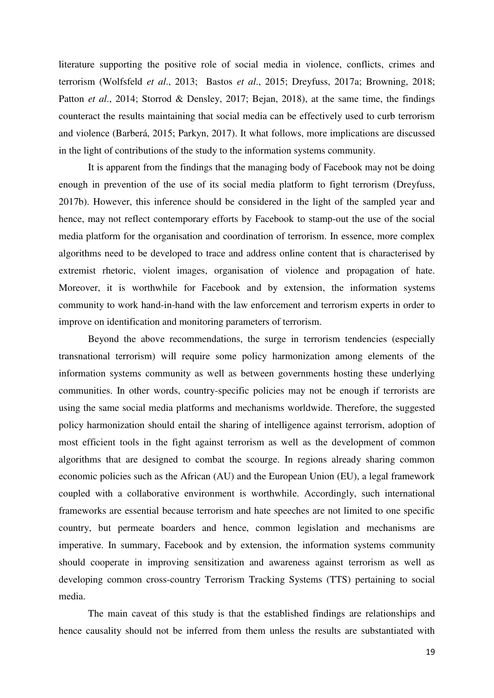literature supporting the positive role of social media in violence, conflicts, crimes and terrorism (Wolfsfeld *et al*., 2013; Bastos *et al*., 2015; Dreyfuss, 2017a; Browning, 2018; Patton *et al*., 2014; Storrod & Densley, 2017; Bejan, 2018), at the same time, the findings counteract the results maintaining that social media can be effectively used to curb terrorism and violence (Barberá, 2015; Parkyn, 2017). It what follows, more implications are discussed in the light of contributions of the study to the information systems community.

 It is apparent from the findings that the managing body of Facebook may not be doing enough in prevention of the use of its social media platform to fight terrorism (Dreyfuss, 2017b). However, this inference should be considered in the light of the sampled year and hence, may not reflect contemporary efforts by Facebook to stamp-out the use of the social media platform for the organisation and coordination of terrorism. In essence, more complex algorithms need to be developed to trace and address online content that is characterised by extremist rhetoric, violent images, organisation of violence and propagation of hate. Moreover, it is worthwhile for Facebook and by extension, the information systems community to work hand-in-hand with the law enforcement and terrorism experts in order to improve on identification and monitoring parameters of terrorism.

 Beyond the above recommendations, the surge in terrorism tendencies (especially transnational terrorism) will require some policy harmonization among elements of the information systems community as well as between governments hosting these underlying communities. In other words, country-specific policies may not be enough if terrorists are using the same social media platforms and mechanisms worldwide. Therefore, the suggested policy harmonization should entail the sharing of intelligence against terrorism, adoption of most efficient tools in the fight against terrorism as well as the development of common algorithms that are designed to combat the scourge. In regions already sharing common economic policies such as the African (AU) and the European Union (EU), a legal framework coupled with a collaborative environment is worthwhile. Accordingly, such international frameworks are essential because terrorism and hate speeches are not limited to one specific country, but permeate boarders and hence, common legislation and mechanisms are imperative. In summary, Facebook and by extension, the information systems community should cooperate in improving sensitization and awareness against terrorism as well as developing common cross-country Terrorism Tracking Systems (TTS) pertaining to social media.

The main caveat of this study is that the established findings are relationships and hence causality should not be inferred from them unless the results are substantiated with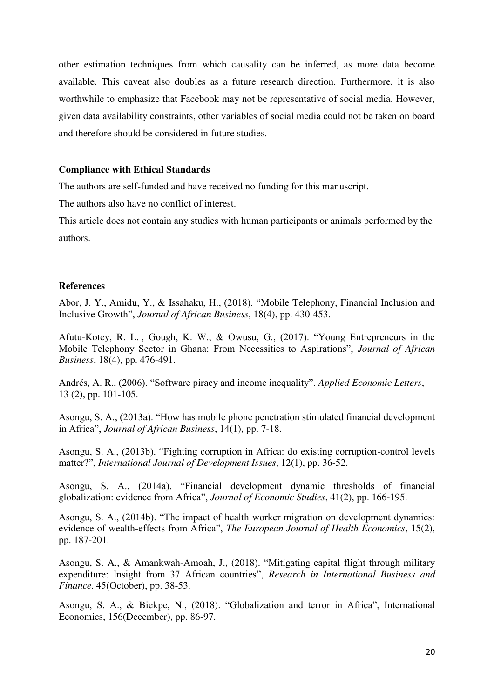other estimation techniques from which causality can be inferred, as more data become available. This caveat also doubles as a future research direction. Furthermore, it is also worthwhile to emphasize that Facebook may not be representative of social media. However, given data availability constraints, other variables of social media could not be taken on board and therefore should be considered in future studies.

## **Compliance with Ethical Standards**

The authors are self-funded and have received no funding for this manuscript.

The authors also have no conflict of interest.

This article does not contain any studies with human participants or animals performed by the authors.

## **References**

Abor, J. Y., Amidu, Y., & Issahaku, H., (2018). "Mobile Telephony, Financial Inclusion and Inclusive Growth", *Journal of African Business*, 18(4), pp. 430-453.

Afutu-Kotey, R. L. , Gough, K. W., & Owusu, G., (2017). "Young Entrepreneurs in the Mobile Telephony Sector in Ghana: From Necessities to Aspirations", *Journal of African Business*, 18(4), pp. 476-491.

Andrés, A. R., (2006). "Software piracy and income inequality". *Applied Economic Letters*, 13 (2), pp. 101-105.

Asongu, S. A., (2013a). "How has mobile phone penetration stimulated financial development in Africa", *Journal of African Business*, 14(1), pp. 7-18.

Asongu, S. A., (2013b). "Fighting corruption in Africa: do existing corruption-control levels matter?", *International Journal of Development Issues*, 12(1), pp. 36-52.

Asongu, S. A., (2014a). "Financial development dynamic thresholds of financial globalization: evidence from Africa", *Journal of Economic Studies*, 41(2), pp. 166-195.

Asongu, S. A., (2014b). "The impact of health worker migration on development dynamics: evidence of wealth-effects from Africa", *The European Journal of Health Economics*, 15(2), pp. 187-201.

Asongu, S. A., & Amankwah-Amoah, J., (2018). "Mitigating capital flight through military expenditure: Insight from 37 African countries", *Research in International Business and Finance*. 45(October), pp. 38-53.

Asongu, S. A., & Biekpe, N., (2018). "Globalization and terror in Africa", International Economics, 156(December), pp. 86-97.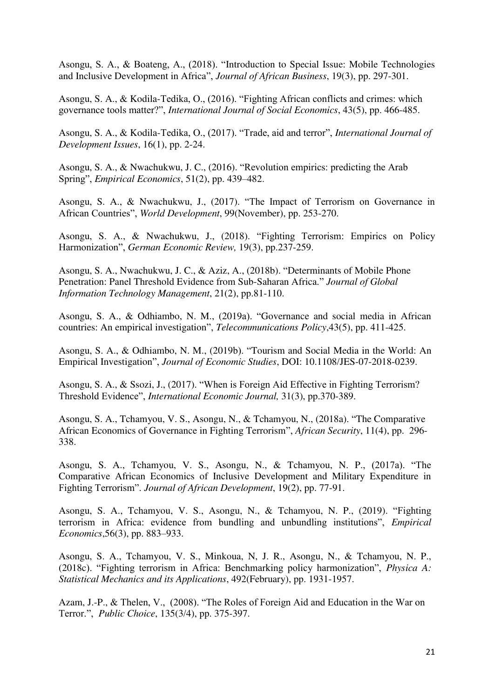Asongu, S. A., & Boateng, A., (2018). "Introduction to Special Issue: Mobile Technologies and Inclusive Development in Africa", *Journal of African Business*, 19(3), pp. 297-301.

Asongu, S. A., & Kodila-Tedika, O., (2016). "Fighting African conflicts and crimes: which governance tools matter?", *International Journal of Social Economics*, 43(5), pp. 466-485.

Asongu, S. A., & Kodila-Tedika, O., (2017). "Trade, aid and terror", *International Journal of Development Issues*, 16(1), pp. 2-24.

Asongu, S. A., & Nwachukwu, J. C., (2016). "Revolution empirics: predicting the Arab Spring", *Empirical Economics*, 51(2), pp. 439–482.

Asongu, S. A., & Nwachukwu, J., (2017). "The Impact of Terrorism on Governance in African Countries", *World Development*, 99(November), pp. 253-270.

Asongu, S. A., & Nwachukwu, J., (2018). "Fighting Terrorism: Empirics on Policy Harmonization", *German Economic Review,* 19(3), pp.237-259.

Asongu, S. A., Nwachukwu, J. C., & Aziz, A., (2018b). "Determinants of Mobile Phone Penetration: Panel Threshold Evidence from Sub-Saharan Africa." *Journal of Global Information Technology Management*, 21(2), pp.81-110.

Asongu, S. A., & Odhiambo, N. M., (2019a). "Governance and social media in African countries: An empirical investigation", *Telecommunications Policy*,43(5), pp. 411-425.

Asongu, S. A., & Odhiambo, N. M., (2019b). "Tourism and Social Media in the World: An Empirical Investigation", *Journal of Economic Studies*, DOI: 10.1108/JES-07-2018-0239.

Asongu, S. A., & Ssozi, J., (2017). "When is Foreign Aid Effective in Fighting Terrorism? Threshold Evidence", *International Economic Journal,* 31(3), pp.370-389.

Asongu, S. A., Tchamyou, V. S., Asongu, N., & Tchamyou, N., (2018a). "The Comparative African Economics of Governance in Fighting Terrorism", *African Security*, 11(4), pp. 296- 338.

Asongu, S. A., Tchamyou, V. S., Asongu, N., & Tchamyou, N. P., (2017a). "The Comparative African Economics of Inclusive Development and Military Expenditure in Fighting Terrorism". *Journal of African Development*, 19(2), pp. 77-91.

Asongu, S. A., Tchamyou, V. S., Asongu, N., & Tchamyou, N. P., (2019). "Fighting terrorism in Africa: evidence from bundling and unbundling institutions", *Empirical Economics*,56(3), pp. 883–933.

Asongu, S. A., Tchamyou, V. S., Minkoua, N, J. R., Asongu, N., & Tchamyou, N. P., (2018c). "Fighting terrorism in Africa: Benchmarking policy harmonization", *Physica A: Statistical Mechanics and its Applications*, 492(February), pp. 1931-1957.

Azam, J.-P., & Thelen, V., (2008). "The Roles of Foreign Aid and Education in the War on Terror.", *Public Choice*, 135(3/4), pp. 375-397.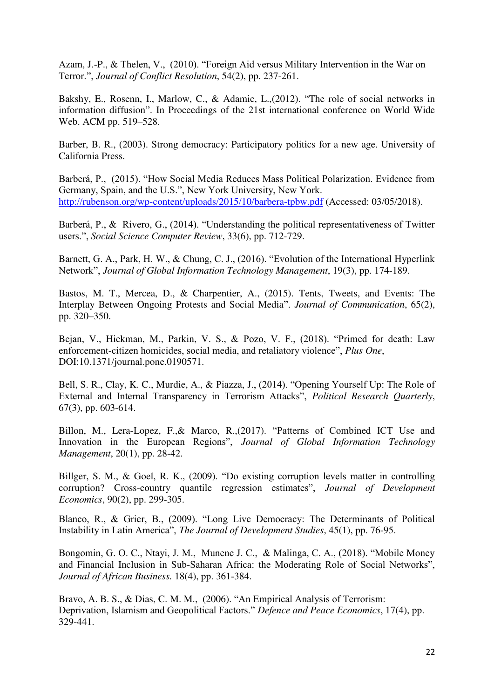Azam, J.-P., & Thelen, V., (2010). "Foreign Aid versus Military Intervention in the War on Terror.", *Journal of Conflict Resolution*, 54(2), pp. 237-261.

Bakshy, E., Rosenn, I., Marlow, C., & Adamic, L.,(2012). "The role of social networks in information diffusion". In Proceedings of the 21st international conference on World Wide Web. ACM pp. 519–528.

Barber, B. R., (2003). Strong democracy: Participatory politics for a new age. University of California Press.

Barberá, P., (2015). "How Social Media Reduces Mass Political Polarization. Evidence from Germany, Spain, and the U.S.", New York University, New York. <http://rubenson.org/wp-content/uploads/2015/10/barbera-tpbw.pdf>(Accessed: 03/05/2018).

Barberá, P., & Rivero, G., (2014). "Understanding the political representativeness of Twitter users.", *Social Science Computer Review*, 33(6), pp. 712-729.

Barnett, G. A., Park, H. W., & Chung, C. J., (2016). "Evolution of the International Hyperlink Network", *Journal of Global Information Technology Management*, 19(3), pp. 174-189.

Bastos, M. T., Mercea, D., & Charpentier, A., (2015). Tents, Tweets, and Events: The Interplay Between Ongoing Protests and Social Media". *Journal of Communication*, 65(2), pp. 320–350.

Bejan, V., Hickman, M., Parkin, V. S., & Pozo, V. F., (2018). "Primed for death: Law enforcement-citizen homicides, social media, and retaliatory violence", *Plus One*, DOI:10.1371/journal.pone.0190571.

Bell, S. R., Clay, K. C., Murdie, A., & Piazza, J., (2014). "Opening Yourself Up: The Role of External and Internal Transparency in Terrorism Attacks", *Political Research Quarterly*, 67(3), pp. 603-614.

Billon, M., Lera-Lopez, F.,& Marco, R.,(2017). "Patterns of Combined ICT Use and Innovation in the European Regions", *Journal of Global Information Technology Management*, 20(1), pp. 28-42.

Billger, S. M., & Goel, R. K., (2009). "Do existing corruption levels matter in controlling corruption? Cross-country quantile regression estimates", *Journal of Development Economics*, 90(2), pp. 299-305.

Blanco, R., & Grier, B., (2009). "Long Live Democracy: The Determinants of Political Instability in Latin America", *The Journal of Development Studies*, 45(1), pp. 76-95.

Bongomin, G. O. C., Ntayi, J. M., Munene J. C., & Malinga, C. A., (2018). "Mobile Money and Financial Inclusion in Sub-Saharan Africa: the Moderating Role of Social Networks", *Journal of African Business.* 18(4), pp. 361-384.

Bravo, A. B. S., & Dias, C. M. M., (2006). "An Empirical Analysis of Terrorism: Deprivation, Islamism and Geopolitical Factors." *Defence and Peace Economics*, 17(4), pp. 329-441.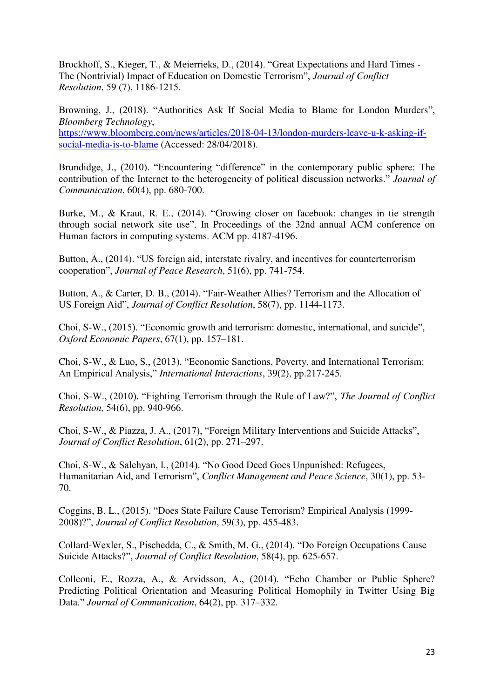Brockhoff, S., Kieger, T., & Meierrieks, D., (2014). "Great Expectations and Hard Times - The (Nontrivial) Impact of Education on Domestic Terrorism", *Journal of Conflict Resolution*, 59 (7), 1186-1215.

Browning, J., (2018). "Authorities Ask If Social Media to Blame for London Murders", *Bloomberg Technology*, [https://www.bloomberg.com/news/articles/2018-04-13/london-murders-leave-u-k-asking-if](https://www.bloomberg.com/news/articles/2018-04-13/london-murders-leave-u-k-asking-if-social-media-is-to-blame)[social-media-is-to-blame](https://www.bloomberg.com/news/articles/2018-04-13/london-murders-leave-u-k-asking-if-social-media-is-to-blame) (Accessed: 28/04/2018).

Brundidge, J., (2010). "Encountering "difference" in the contemporary public sphere: The contribution of the Internet to the heterogeneity of political discussion networks." *Journal of Communication*, 60(4), pp. 680-700.

Burke, M., & Kraut, R. E., (2014). "Growing closer on facebook: changes in tie strength through social network site use". In Proceedings of the 32nd annual ACM conference on Human factors in computing systems. ACM pp. 4187-4196.

Button, A., (2014). "US foreign aid, interstate rivalry, and incentives for counterterrorism cooperation", *Journal of Peace Research*, 51(6), pp. 741-754.

Button, A., & Carter, D. B., (2014). "Fair-Weather Allies? Terrorism and the Allocation of US Foreign Aid", *Journal of Conflict Resolution*, 58(7), pp. 1144-1173.

Choi, S-W., (2015). "Economic growth and terrorism: domestic, international, and suicide", *Oxford Economic Papers*, 67(1), pp. 157–181.

Choi, S-W., & Luo, S., (2013). "Economic Sanctions, Poverty, and International Terrorism: An Empirical Analysis," *International Interactions*, 39(2), pp.217-245.

Choi, S-W., (2010). "Fighting Terrorism through the Rule of Law?", *The Journal of Conflict Resolution,* 54(6), pp. 940-966.

Choi, S-W., & Piazza, J. A., (2017), "Foreign Military Interventions and Suicide Attacks", *Journal of Conflict Resolution*, 61(2), pp. 271–297.

Choi, S-W., & Salehyan, I., (2014). "No Good Deed Goes Unpunished: Refugees, Humanitarian Aid, and Terrorism", *Conflict Management and Peace Science*, 30(1), pp. 53- 70.

Coggins, B. L., (2015). "Does State Failure Cause Terrorism? Empirical Analysis (1999- 2008)?", *Journal of Conflict Resolution*, 59(3), pp. 455-483.

Collard-Wexler, S., Pischedda, C., & Smith, M. G., (2014). "Do Foreign Occupations Cause Suicide Attacks?", *Journal of Conflict Resolution*, 58(4), pp. 625-657.

Colleoni, E., Rozza, A., & Arvidsson, A., (2014). "Echo Chamber or Public Sphere? Predicting Political Orientation and Measuring Political Homophily in Twitter Using Big Data." *Journal of Communication*, 64(2), pp. 317–332.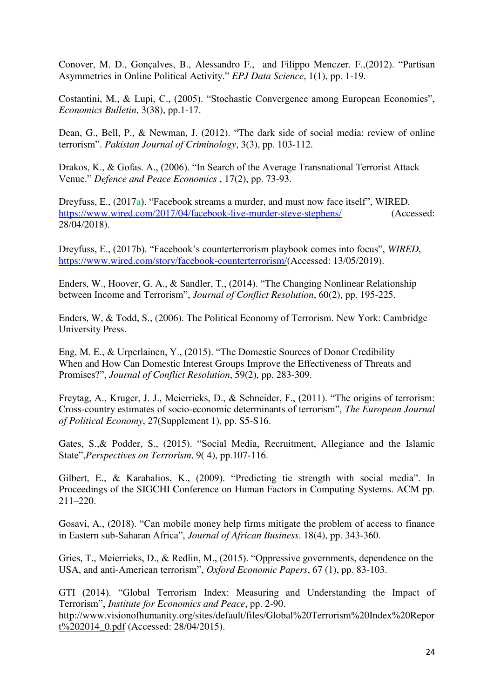Conover, M. D., Gonçalves, B., Alessandro F., and Filippo Menczer. F.,(2012). "Partisan Asymmetries in Online Political Activity." *EPJ Data Science*, 1(1), pp. 1-19.

Costantini, M., & Lupi, C., (2005). "Stochastic Convergence among European Economies", *Economics Bulletin*, 3(38), pp.1-17.

Dean, G., Bell, P., & Newman, J. (2012). "The dark side of social media: review of online terrorism". *Pakistan Journal of Criminology*, 3(3), pp. 103-112.

Drakos, K., & Gofas. A., (2006). "In Search of the Average Transnational Terrorist Attack Venue." *Defence and Peace Economics* , 17(2), pp. 73-93.

Dreyfuss, E., (2017a). "Facebook streams a murder, and must now face itself", WIRED. <https://www.wired.com/2017/04/facebook-live-murder-steve-stephens/>(Accessed: 28/04/2018).

Dreyfuss, E., (2017b). "Facebook's counterterrorism playbook comes into focus", *WIRED*, [https://www.wired.com/story/facebook-counterterrorism/\(](https://www.wired.com/story/facebook-counterterrorism/)Accessed: 13/05/2019).

Enders, W., Hoover, G. A., & Sandler, T., (2014). "The Changing Nonlinear Relationship between Income and Terrorism", *Journal of Conflict Resolution*, 60(2), pp. 195-225.

Enders, W, & Todd, S., (2006). The Political Economy of Terrorism. New York: Cambridge University Press.

Eng, M. E., & Urperlainen, Y., (2015). "The Domestic Sources of Donor Credibility When and How Can Domestic Interest Groups Improve the Effectiveness of Threats and Promises?", *Journal of Conflict Resolution*, 59(2), pp. 283-309.

Freytag, A., Kruger, J. J., Meierrieks, D., & Schneider, F., (2011). "The origins of terrorism: Cross-country estimates of socio-economic determinants of terrorism", *The European Journal of Political Economy*, 27(Supplement 1), pp. S5-S16.

Gates, S.,& Podder, S., (2015). "Social Media, Recruitment, Allegiance and the Islamic State",*Perspectives on Terrorism*, 9( 4), pp.107-116.

Gilbert, E., & Karahalios, K., (2009). "Predicting tie strength with social media". In Proceedings of the SIGCHI Conference on Human Factors in Computing Systems. ACM pp. 211–220.

Gosavi, A., (2018). "Can mobile money help firms mitigate the problem of access to finance in Eastern sub-Saharan Africa", *Journal of African Business*. 18(4), pp. 343-360.

Gries, T., Meierrieks, D., & Redlin, M., (2015). "Oppressive governments, dependence on the USA, and anti-American terrorism", *Oxford Economic Papers*, 67 (1), pp. 83-103.

GTI (2014). "Global Terrorism Index: Measuring and Understanding the Impact of Terrorism", *Institute for Economics and Peace*, pp. 2-90. [http://www.visionofhumanity.org/sites/default/files/Global%20Terrorism%20Index%20Repor](http://www.visionofhumanity.org/sites/default/files/Global%20Terrorism%20Index%20Report%202014_0.pdf) [t%202014\\_0.pdf](http://www.visionofhumanity.org/sites/default/files/Global%20Terrorism%20Index%20Report%202014_0.pdf) (Accessed: 28/04/2015).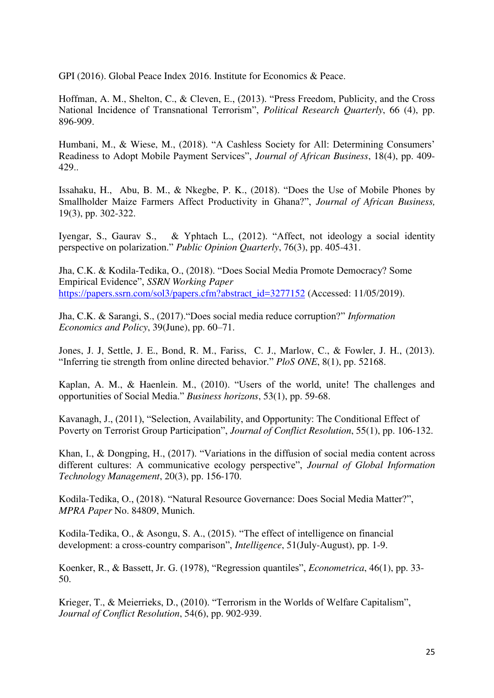GPI (2016). Global Peace Index 2016. Institute for Economics & Peace.

Hoffman, A. M., Shelton, C., & Cleven, E., (2013). "Press Freedom, Publicity, and the Cross National Incidence of Transnational Terrorism", *Political Research Quarterly*, 66 (4), pp. 896-909.

Humbani, M., & Wiese, M., (2018). "A Cashless Society for All: Determining Consumers' Readiness to Adopt Mobile Payment Services", *Journal of African Business*, 18(4), pp. 409- 429..

Issahaku, H., Abu, B. M., & Nkegbe, P. K., (2018). "Does the Use of Mobile Phones by Smallholder Maize Farmers Affect Productivity in Ghana?", *Journal of African Business,* 19(3), pp. 302-322.

Iyengar, S., Gaurav S., & Yphtach L., (2012). "Affect, not ideology a social identity perspective on polarization." *Public Opinion Quarterly*, 76(3), pp. 405-431.

Jha, C.K. & Kodila-Tedika, O., (2018). "Does Social Media Promote Democracy? Some Empirical Evidence", *SSRN Working Paper* [https://papers.ssrn.com/sol3/papers.cfm?abstract\\_id=3277152](https://papers.ssrn.com/sol3/papers.cfm?abstract_id=3277152) (Accessed: 11/05/2019).

Jha, C.K. & Sarangi, S., (2017)."Does social media reduce corruption?" *Information Economics and Policy*, 39(June), pp. 60–71.

Jones, J. J, Settle, J. E., Bond, R. M., Fariss, C. J., Marlow, C., & Fowler, J. H., (2013). "Inferring tie strength from online directed behavior." *PloS ONE*, 8(1), pp. 52168.

Kaplan, A. M., & Haenlein. M., (2010). "Users of the world, unite! The challenges and opportunities of Social Media." *Business horizons*, 53(1), pp. 59-68.

Kavanagh, J., (2011), "Selection, Availability, and Opportunity: The Conditional Effect of Poverty on Terrorist Group Participation", *Journal of Conflict Resolution*, 55(1), pp. 106-132.

Khan, I., & Dongping, H., (2017). "Variations in the diffusion of social media content across different cultures: A communicative ecology perspective", *Journal of Global Information Technology Management*, 20(3), pp. 156-170.

Kodila-Tedika, O., (2018). "Natural Resource Governance: Does Social Media Matter?", *MPRA Paper* No. 84809, Munich.

Kodila-Tedika, O., & Asongu, S. A., (2015). "The effect of intelligence on financial development: a cross-country comparison", *Intelligence*, 51(July-August), pp. 1-9.

Koenker, R., & Bassett, Jr. G. (1978), "Regression quantiles", *Econometrica*, 46(1), pp. 33- 50.

Krieger, T., & Meierrieks, D., (2010). "Terrorism in the Worlds of Welfare Capitalism", *Journal of Conflict Resolution*, 54(6), pp. 902-939.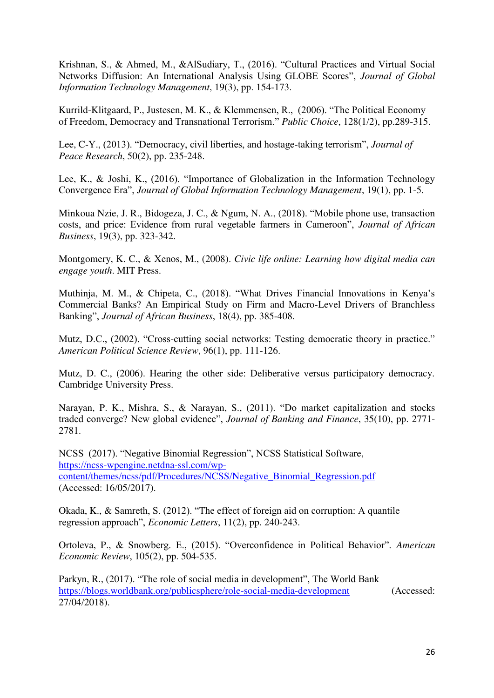Krishnan, S., & Ahmed, M., &AlSudiary, T., (2016). "Cultural Practices and Virtual Social Networks Diffusion: An International Analysis Using GLOBE Scores", *Journal of Global Information Technology Management*, 19(3), pp. 154-173.

Kurrild-Klitgaard, P., Justesen, M. K., & Klemmensen, R., (2006). "The Political Economy of Freedom, Democracy and Transnational Terrorism." *Public Choice*, 128(1/2), pp.289-315.

Lee, C-Y., (2013). "Democracy, civil liberties, and hostage-taking terrorism", *Journal of Peace Research*, 50(2), pp. 235-248.

Lee, K., & Joshi, K., (2016). "Importance of Globalization in the Information Technology Convergence Era", *Journal of Global Information Technology Management*, 19(1), pp. 1-5.

Minkoua Nzie, J. R., Bidogeza, J. C., & Ngum, N. A., (2018). "Mobile phone use, transaction costs, and price: Evidence from rural vegetable farmers in Cameroon", *Journal of African Business*, 19(3), pp. 323-342.

Montgomery, K. C., & Xenos, M., (2008). *Civic life online: Learning how digital media can engage youth*. MIT Press.

Muthinja, M. M., & Chipeta, C., (2018). "What Drives Financial Innovations in Kenya's Commercial Banks? An Empirical Study on Firm and Macro-Level Drivers of Branchless Banking", *Journal of African Business*, 18(4), pp. 385-408.

Mutz, D.C., (2002). "Cross-cutting social networks: Testing democratic theory in practice." *American Political Science Review*, 96(1), pp. 111-126.

Mutz, D. C., (2006). Hearing the other side: Deliberative versus participatory democracy. Cambridge University Press.

Narayan, P. K., Mishra, S., & Narayan, S., (2011). "Do market capitalization and stocks traded converge? New global evidence", *Journal of Banking and Finance*, 35(10), pp. 2771- 2781.

NCSS (2017). "Negative Binomial Regression", NCSS Statistical Software, [https://ncss-wpengine.netdna-ssl.com/wp](https://ncss-wpengine.netdna-ssl.com/wp-content/themes/ncss/pdf/Procedures/NCSS/Negative_Binomial_Regression.pdf)[content/themes/ncss/pdf/Procedures/NCSS/Negative\\_Binomial\\_Regression.pdf](https://ncss-wpengine.netdna-ssl.com/wp-content/themes/ncss/pdf/Procedures/NCSS/Negative_Binomial_Regression.pdf) (Accessed: 16/05/2017).

Okada, K., & Samreth, S. (2012). "The effect of foreign aid on corruption: A quantile regression approach", *Economic Letters*, 11(2), pp. 240-243.

Ortoleva, P., & Snowberg. E., (2015). "Overconfidence in Political Behavior". *American Economic Review*, 105(2), pp. 504-535.

Parkyn, R., (2017). "The role of social media in development", The World Bank <https://blogs.worldbank.org/publicsphere/role-social-media-development>(Accessed: 27/04/2018).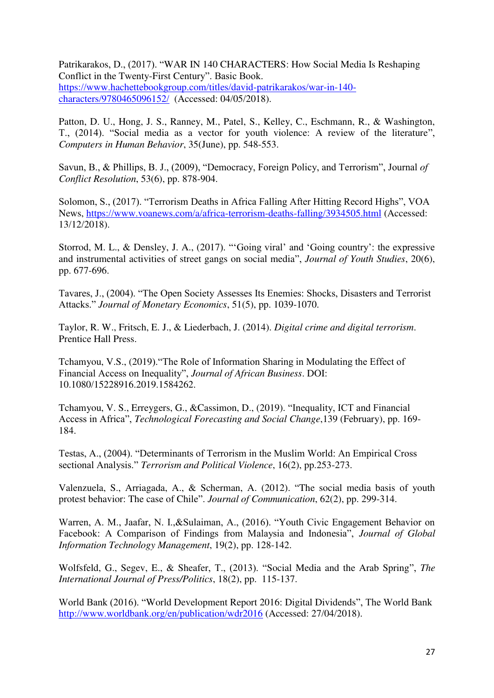Patrikarakos, D., (2017). "WAR IN 140 CHARACTERS: How Social Media Is Reshaping Conflict in the Twenty-First Century". Basic Book. [https://www.hachettebookgroup.com/titles/david-patrikarakos/war-in-140](https://www.hachettebookgroup.com/titles/david-patrikarakos/war-in-140-characters/9780465096152/) [characters/9780465096152/](https://www.hachettebookgroup.com/titles/david-patrikarakos/war-in-140-characters/9780465096152/) (Accessed: 04/05/2018).

Patton, D. U., Hong, J. S., Ranney, M., Patel, S., Kelley, C., Eschmann, R., & Washington, T., (2014). "Social media as a vector for youth violence: A review of the literature", *Computers in Human Behavior*, 35(June), pp. 548-553.

Savun, B., & Phillips, B. J., (2009), "Democracy, Foreign Policy, and Terrorism", Journal *of Conflict Resolution*, 53(6), pp. 878-904.

Solomon, S., (2017). "Terrorism Deaths in Africa Falling After Hitting Record Highs", VOA News,<https://www.voanews.com/a/africa-terrorism-deaths-falling/3934505.html>(Accessed: 13/12/2018).

Storrod, M. L., & Densley, J. A., (2017). "'Going viral' and 'Going country': the expressive and instrumental activities of street gangs on social media", *Journal of Youth Studies*, 20(6), pp. 677-696.

Tavares, J., (2004). "The Open Society Assesses Its Enemies: Shocks, Disasters and Terrorist Attacks." *Journal of Monetary Economics*, 51(5), pp. 1039-1070.

Taylor, R. W., Fritsch, E. J., & Liederbach, J. (2014). *Digital crime and digital terrorism*. Prentice Hall Press.

Tchamyou, V.S., (2019)."The Role of Information Sharing in Modulating the Effect of Financial Access on Inequality", *Journal of African Business*. DOI: 10.1080/15228916.2019.1584262.

Tchamyou, V. S., Erreygers, G., &Cassimon, D., (2019). "Inequality, ICT and Financial Access in Africa", *Technological Forecasting and Social Change*,139 (February), pp. 169- 184.

Testas, A., (2004). "Determinants of Terrorism in the Muslim World: An Empirical Cross sectional Analysis." *Terrorism and Political Violence*, 16(2), pp.253-273.

Valenzuela, S., Arriagada, A., & Scherman, A. (2012). "The social media basis of youth protest behavior: The case of Chile". *Journal of Communication*, 62(2), pp. 299-314.

Warren, A. M., Jaafar, N. I.,&Sulaiman, A., (2016). "Youth Civic Engagement Behavior on Facebook: A Comparison of Findings from Malaysia and Indonesia", *Journal of Global Information Technology Management*, 19(2), pp. 128-142.

Wolfsfeld, G., Segev, E., & Sheafer, T., (2013). "Social Media and the Arab Spring", *The International Journal of Press/Politics*, 18(2), pp. 115-137.

World Bank (2016). "World Development Report 2016: Digital Dividends", The World Bank <http://www.worldbank.org/en/publication/wdr2016>(Accessed: 27/04/2018).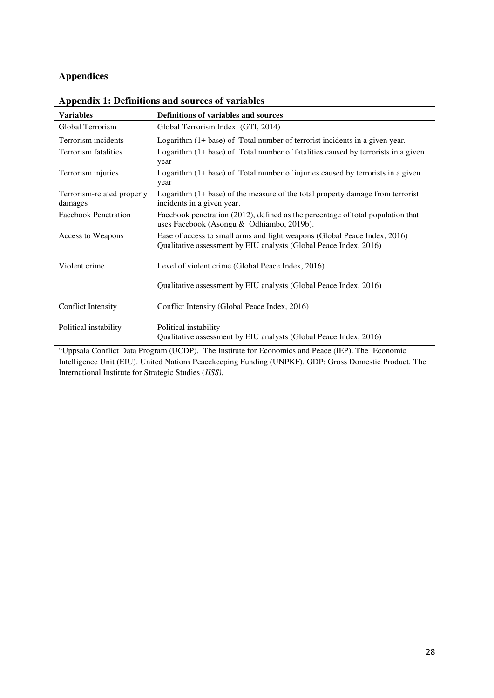# **Appendices**

| <b>Variables</b>                                                                                 | Definitions of variables and sources                                                                                                           |  |  |  |  |  |
|--------------------------------------------------------------------------------------------------|------------------------------------------------------------------------------------------------------------------------------------------------|--|--|--|--|--|
| Global Terrorism                                                                                 | Global Terrorism Index (GTI, 2014)                                                                                                             |  |  |  |  |  |
| Terrorism incidents                                                                              | Logarithm $(1 + base)$ of Total number of terrorist incidents in a given year.                                                                 |  |  |  |  |  |
| <b>Terrorism fatalities</b>                                                                      | Logarithm $(1 + base)$ of Total number of fatalities caused by terrorists in a given<br>year                                                   |  |  |  |  |  |
| Terrorism injuries                                                                               | Logarithm $(1 + base)$ of Total number of injuries caused by terrorists in a given<br>year                                                     |  |  |  |  |  |
| Terrorism-related property<br>damages                                                            | Logarithm $(1 + base)$ of the measure of the total property damage from terrorist<br>incidents in a given year.                                |  |  |  |  |  |
| <b>Facebook Penetration</b>                                                                      | Facebook penetration (2012), defined as the percentage of total population that<br>uses Facebook (Asongu & Odhiambo, 2019b).                   |  |  |  |  |  |
| Access to Weapons                                                                                | Ease of access to small arms and light weapons (Global Peace Index, 2016)<br>Qualitative assessment by EIU analysts (Global Peace Index, 2016) |  |  |  |  |  |
| Violent crime                                                                                    | Level of violent crime (Global Peace Index, 2016)                                                                                              |  |  |  |  |  |
|                                                                                                  | Qualitative assessment by EIU analysts (Global Peace Index, 2016)                                                                              |  |  |  |  |  |
| <b>Conflict Intensity</b>                                                                        | Conflict Intensity (Global Peace Index, 2016)                                                                                                  |  |  |  |  |  |
| Political instability                                                                            | Political instability                                                                                                                          |  |  |  |  |  |
|                                                                                                  | Qualitative assessment by EIU analysts (Global Peace Index, 2016)                                                                              |  |  |  |  |  |
| "Uppsala Conflict Data Program (UCDP). The Institute for Economics and Peace (IEP). The Economic |                                                                                                                                                |  |  |  |  |  |

**Appendix 1: Definitions and sources of variables** 

"Uppsala Conflict Data Program (UCDP). The Institute for Economics and Peace (IEP). The Economic Intelligence Unit (EIU). United Nations Peacekeeping Funding (UNPKF). GDP: Gross Domestic Product. The International Institute for Strategic Studies (*IISS).*